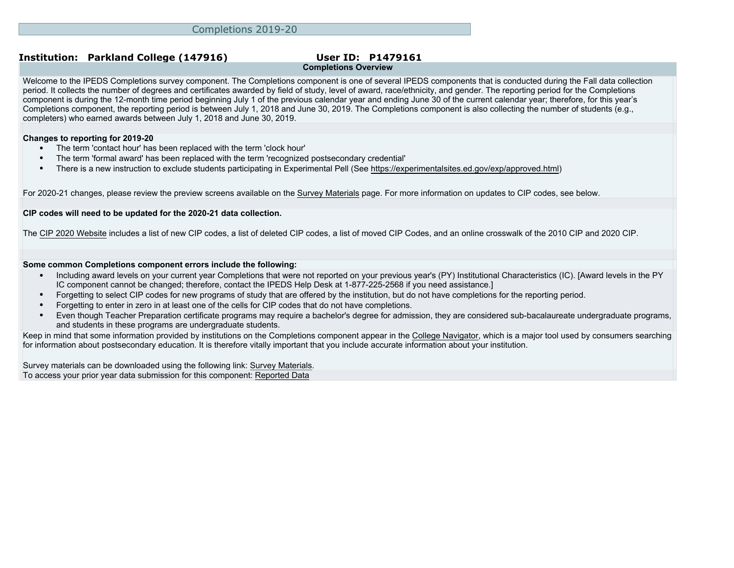# **Completions Overview**

Welcome to the IPEDS Completions survey component. The Completions component is one of several IPEDS components that is conducted during the Fall data collection period. It collects the number of degrees and certificates awarded by field of study, level of award, race/ethnicity, and gender. The reporting period for the Completions component is during the 12-month time period beginning July 1 of the previous calendar year and ending June 30 of the current calendar year; therefore, for this year's Completions component, the reporting period is between July 1, 2018 and June 30, 2019. The Completions component is also collecting the number of students (e.g., completers) who earned awards between July 1, 2018 and June 30, 2019.

### **Changes to reporting for 2019-20**

- The term 'contact hour' has been replaced with the term 'clock hour'
- The term 'formal award' has been replaced with the term 'recognized postsecondary credential'
- There is a new instruction to exclude students participating in Experimental Pell (See<https://experimentalsites.ed.gov/exp/approved.html>)

For 2020-21 changes, please review the preview screens available on the [Survey Materials](https://surveys.nces.ed.gov/ipeds/VisIndex.aspx) page. For more information on updates to CIP codes, see below.

### **CIP codes will need to be updated for the 2020-21 data collection.**

The [CIP 2020 Website](https://nces.ed.gov/ipeds/cipcode/Default.aspx?y=55) includes a list of new CIP codes, a list of deleted CIP codes, a list of moved CIP Codes, and an online crosswalk of the 2010 CIP and 2020 CIP.

### **Some common Completions component errors include the following:**

- Including award levels on your current year Completions that were not reported on your previous year's (PY) Institutional Characteristics (IC). [Award levels in the PY IC component cannot be changed; therefore, contact the IPEDS Help Desk at 1-877-225-2568 if you need assistance.]
- Forgetting to select CIP codes for new programs of study that are offered by the institution, but do not have completions for the reporting period.
- Forgetting to enter in zero in at least one of the cells for CIP codes that do not have completions.
- Even though Teacher Preparation certificate programs may require a bachelor's degree for admission, they are considered sub-bacalaureate undergraduate programs, and students in these programs are undergraduate students.

Keep in mind that some information provided by institutions on the Completions component appear in the [College Navigator](http://collegenavigator.ed.gov), which is a major tool used by consumers searching for information about postsecondary education. It is therefore vitally important that you include accurate information about your institution.

Survey materials can be downloaded using the following link: [Survey Materials.](https://surveys.nces.ed.gov/ipeds/VisIndex.aspx) To access your prior year data submission for this component: [Reported Data](http://192.168.102.153/ipeds/PriorYearDataRedirect.aspx?survey_id=10)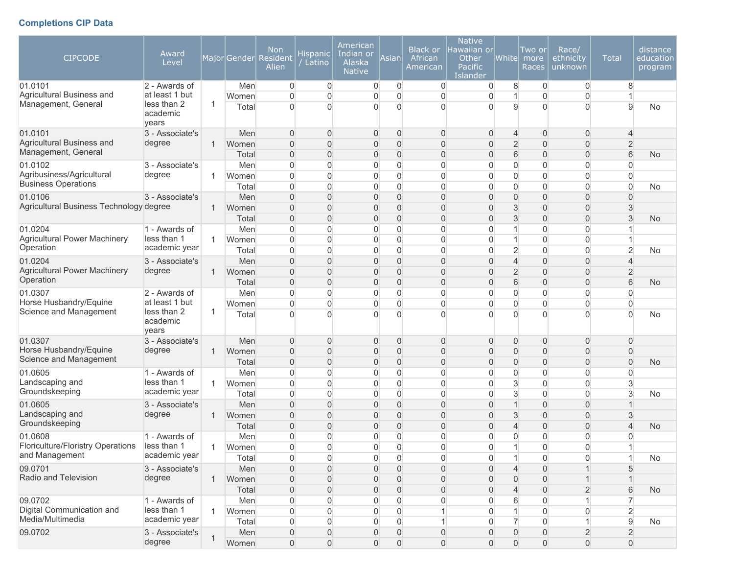## **Completions CIP Data**

| <b>CIPCODE</b><br>01.0101<br>Agricultural Business and<br>Management, General | Award<br>Level<br>2 - Awards of<br>at least 1 but<br>less than 2<br>academic | 1            | MajorGender<br>Men<br>Women<br>Total | <b>Non</b><br>Resident<br>Alien<br>$\overline{0}$<br>$\Omega$<br>$\Omega$ | Hispanic<br>Latino<br>$\mathbf 0$<br>$\overline{0}$<br>$\Omega$      | American<br>Indian or<br>Alaska<br><b>Native</b><br>$\mathbf 0$<br>0<br>0 | Asian<br>$\mathbf 0$<br>$\overline{0}$<br>$\overline{0}$ | <b>Black or</b><br>African<br>American<br>$\overline{0}$<br>$\overline{0}$<br>$\overline{0}$ | <b>Native</b><br>Hawaiian orl<br>Other<br>Pacific<br>Islander<br>$\overline{0}$<br>0<br>0 | White <br>8<br>9                                        | Two or<br>more<br>Races<br>0<br>$\overline{0}$<br>$\Omega$     | Race/<br>ethnicity<br>unknown<br>$\overline{0}$<br>$\overline{0}$<br>$\Omega$ | <b>Total</b><br>8<br>9                             | distance<br>education<br>program<br>No |
|-------------------------------------------------------------------------------|------------------------------------------------------------------------------|--------------|--------------------------------------|---------------------------------------------------------------------------|----------------------------------------------------------------------|---------------------------------------------------------------------------|----------------------------------------------------------|----------------------------------------------------------------------------------------------|-------------------------------------------------------------------------------------------|---------------------------------------------------------|----------------------------------------------------------------|-------------------------------------------------------------------------------|----------------------------------------------------|----------------------------------------|
| 01.0101                                                                       | years<br>3 - Associate's                                                     |              | Men                                  | $\Omega$                                                                  | $\mathbf{0}$                                                         | $\mathbf 0$                                                               | 0                                                        | $\mathbf{0}$                                                                                 | 0                                                                                         | $\overline{4}$                                          | $\mathbf{0}$                                                   | $\overline{0}$                                                                | $\overline{\mathcal{L}}$                           |                                        |
| Agricultural Business and<br>Management, General                              | degree                                                                       | $\mathbf{1}$ | Women<br>Total                       | $\Omega$<br>0                                                             | $\mathbf{0}$<br>$\overline{0}$                                       | 0<br>0                                                                    | $\overline{0}$<br>$\overline{0}$                         | $\overline{0}$<br>$\overline{0}$                                                             | 0<br>0                                                                                    | $\overline{2}$<br>6                                     | $\overline{0}$<br>$\overline{0}$                               | $\overline{0}$<br>$\overline{0}$                                              | $\overline{2}$<br>6                                | <b>No</b>                              |
| 01.0102<br>Agribusiness/Agricultural<br><b>Business Operations</b>            | 3 - Associate's<br>degree                                                    | $\mathbf{1}$ | Men<br>Women<br>Total                | $\overline{0}$<br>$\overline{0}$<br>$\overline{0}$                        | $\overline{0}$<br>$\overline{0}$<br>$\overline{0}$                   | $\boldsymbol{0}$<br>$\mathbf 0$<br>$\boldsymbol{0}$                       | $\mathsf{O}\xspace$<br>$\overline{0}$<br>0               | $\boldsymbol{0}$<br>$\boldsymbol{0}$<br>$\mathbf{0}$                                         | 0<br>0<br>0                                                                               | $\overline{0}$<br>$\overline{0}$<br>$\overline{0}$      | $\overline{0}$<br>$\overline{0}$<br>$\overline{0}$             | $\overline{0}$<br>$\overline{0}$<br>$\overline{0}$                            | 0<br>$\overline{0}$<br>$\overline{0}$              | No.                                    |
| 01.0106<br>Agricultural Business Technology degree                            | 3 - Associate's                                                              | $\mathbf{1}$ | Men<br>Women                         | $\Omega$<br>$\Omega$                                                      | $\mathbf{0}$<br>$\Omega$                                             | 0<br>0                                                                    | $\overline{0}$<br>$\overline{0}$                         | $\overline{0}$<br>$\overline{0}$                                                             | 0<br>0                                                                                    | 0<br>3                                                  | $\overline{0}$<br>$\overline{0}$                               | $\mathbf 0$<br>$\overline{0}$                                                 | $\Omega$<br>3                                      |                                        |
| 01.0204<br><b>Agricultural Power Machinery</b><br>Operation                   | 1 - Awards of<br>less than 1<br>academic year                                | 1.           | Total<br>Men<br>Women                | $\overline{0}$<br>$\overline{0}$<br>$\Omega$                              | $\overline{0}$<br>$\overline{0}$<br>$\Omega$                         | 0<br>0<br>$\boldsymbol{0}$                                                | $\overline{0}$<br>0<br>0                                 | $\overline{0}$<br>$\overline{0}$<br>$\overline{0}$                                           | 0<br>0<br>0                                                                               | 3<br>1                                                  | $\overline{0}$<br>$\overline{0}$<br>$\overline{0}$             | $\boldsymbol{0}$<br>0<br>$\overline{0}$                                       | 3<br>1                                             | <b>No</b>                              |
| 01.0204<br><b>Agricultural Power Machinery</b><br>Operation                   | 3 - Associate's<br>degree                                                    | $\mathbf{1}$ | Total<br>Men<br>Women<br>Total       | $\Omega$<br>$\Omega$<br>$\Omega$<br>$\overline{0}$                        | $\overline{0}$<br>$\overline{0}$<br>$\overline{0}$<br>$\overline{0}$ | $\overline{0}$<br>0<br>0<br>0                                             | 0<br>$\overline{0}$<br>$\overline{0}$<br>$\overline{0}$  | $\mathbf{0}$<br>$\overline{0}$<br>$\overline{0}$<br>$\overline{0}$                           | 0<br>$\overline{0}$<br>0<br>0                                                             | $\overline{2}$<br>$\overline{4}$<br>$\overline{2}$<br>6 | $\overline{0}$<br>$\overline{0}$<br>$\overline{0}$<br>$\Omega$ | $\overline{0}$<br>$\overline{0}$<br>$\overline{0}$<br>$\mathbf 0$             | $\overline{2}$<br>4<br>$\overline{2}$<br>6         | No.<br>No.                             |
| 01.0307<br>Horse Husbandry/Equine<br>Science and Management                   | 2 - Awards of<br>at least 1 but<br>less than 2                               | 1            | Men<br>Women<br>Total                | $\overline{0}$<br>$\overline{0}$<br>$\Omega$                              | $\overline{0}$<br>$\overline{0}$<br>$\Omega$                         | $\boldsymbol{0}$<br>0<br>$\overline{0}$                                   | $\overline{0}$<br>$\overline{0}$<br>$\Omega$             | $\boldsymbol{0}$<br>$\overline{0}$<br>$\overline{0}$                                         | 0<br>0<br>$\Omega$                                                                        | $\overline{0}$<br>$\overline{0}$<br>O                   | $\overline{0}$<br>$\overline{0}$<br>$\Omega$                   | $\overline{0}$<br>$\overline{0}$<br>$\Omega$                                  | $\overline{0}$<br>$\overline{0}$<br>$\overline{0}$ | No                                     |
| 01.0307                                                                       | academic<br>years<br>3 - Associate's                                         |              | Men                                  | $\overline{0}$                                                            | $\mathbf{0}$                                                         | $\mathbf 0$                                                               | 0                                                        | $\mathbf{0}$                                                                                 | 0                                                                                         | $\mathbf 0$                                             | $\mathbf 0$                                                    | $\overline{0}$                                                                | $\overline{0}$                                     |                                        |
| Horse Husbandry/Equine<br>Science and Management                              | degree                                                                       | $\mathbf{1}$ | Women<br>Total                       | $\overline{0}$<br>$\overline{0}$                                          | $\overline{0}$<br>$\overline{0}$                                     | $\mathbf 0$<br>0                                                          | $\overline{0}$<br>$\overline{0}$                         | $\mathsf{O}\xspace$<br>$\overline{0}$                                                        | 0<br>$\overline{0}$                                                                       | $\mathbf{0}$<br>$\mathbf{0}$                            | $\overline{0}$<br>$\overline{0}$                               | $\boldsymbol{0}$<br>$\overline{0}$                                            | $\overline{0}$<br>$\Omega$                         | No.                                    |
| 01.0605<br>Landscaping and<br>Groundskeeping                                  | 1 - Awards of<br>less than 1<br>academic year                                | $\mathbf{1}$ | Men<br>Women<br>Total                | $\Omega$<br>$\Omega$<br>$\Omega$                                          | $\overline{0}$<br>$\overline{0}$<br>$\overline{0}$                   | $\overline{0}$<br>$\overline{0}$<br>$\overline{0}$                        | 0<br>$\overline{0}$<br>0                                 | $\overline{0}$<br>$\mathbf 0$<br>$\mathbf{0}$                                                | 0<br>$\overline{0}$<br>0                                                                  | $\overline{0}$<br>3<br>3                                | $\overline{0}$<br>$\overline{0}$<br>$\overline{0}$             | $\overline{0}$<br>$\overline{0}$<br>$\overline{0}$                            | 0<br>3<br>3                                        | <b>No</b>                              |
| 01.0605<br>Landscaping and<br>Groundskeeping                                  | 3 - Associate's<br>degree                                                    | $\mathbf{1}$ | Men<br>Women<br>Total                | $\overline{0}$<br>$\overline{0}$<br>$\overline{0}$                        | $\mathbf{0}$<br>$\overline{0}$<br>$\overline{0}$                     | 0<br>0<br>0                                                               | $\overline{0}$<br>0<br>0                                 | $\mathbf 0$<br>$\mathbf 0$<br>$\mathbf 0$                                                    | 0<br>0<br>0                                                                               | $\overline{1}$<br>3<br>4                                | $\overline{0}$<br>$\overline{0}$<br>$\overline{0}$             | $\mathbf 0$<br>$\boldsymbol{0}$<br>$\overline{0}$                             | $\mathbf{3}$<br>4                                  | <b>No</b>                              |
| 01.0608<br>Floriculture/Floristry Operations<br>and Management                | 1 - Awards of<br>less than 1<br>academic year                                | $\mathbf{1}$ | Men<br>Women<br>Total                | $\overline{0}$<br>$\Omega$<br>$\overline{0}$                              | 0<br>$\Omega$<br>$\mathbf 0$                                         | 0<br>$\overline{0}$<br>$\overline{0}$                                     | 0<br>$\Omega$<br>$\overline{0}$                          | $\mathbf{0}$<br>$\Omega$<br>$\overline{0}$                                                   | 0<br>$\overline{0}$<br>0                                                                  | 0<br>$\mathbf{1}$                                       | 0<br>$\Omega$<br>0                                             | 0<br>$\Omega$<br>$\overline{0}$                                               | 0<br>1                                             | No                                     |
| 09.0701<br>Radio and Television                                               | 3 - Associate's<br>degree                                                    | $\mathbf{1}$ | Men<br>Women<br>Total                | $\boldsymbol{0}$<br>0<br>$\overline{0}$                                   | $\boldsymbol{0}$<br>$\mathbf 0$<br>$\mathbf 0$                       | $\overline{0}$<br>$\overline{0}$<br>0                                     | 0<br>0<br>0                                              | $\boldsymbol{0}$<br>0<br>$\mathsf{O}\xspace$                                                 | $\overline{0}$<br>0<br>0                                                                  | $\overline{4}$<br>$\mathbf 0$<br>$\overline{4}$         | $\overline{0}$<br>$\mathbf 0$<br>$\mathbf 0$                   | $\overline{1}$<br>1<br>$\overline{2}$                                         | 5<br>6                                             | No                                     |
| 09.0702<br>Digital Communication and<br>Media/Multimedia                      | 1 - Awards of<br>less than 1<br>academic year                                | $\mathbf{1}$ | Men<br>Women<br>Total                | $\overline{0}$<br>$\overline{0}$<br>$\boldsymbol{0}$                      | $\boldsymbol{0}$<br>$\mathbf 0$<br>$\mathbf 0$                       | $\mathbf 0$<br>$\overline{0}$<br>$\overline{0}$                           | 0<br>0<br>0                                              | $\mathsf{O}\xspace$<br>$\mathbf{1}$<br>1                                                     | 0<br>0<br>0                                                                               | 6<br>$\overline{7}$                                     | $\overline{0}$<br>$\overline{0}$<br>$\overline{0}$             | 1<br>$\overline{0}$<br>$\mathbf{1}$                                           | $\overline{7}$<br>$\overline{2}$<br>$\mathsf g$    | No                                     |
| 09.0702                                                                       | 3 - Associate's<br>degree                                                    | 1            | Men<br>Women                         | $\mathsf{O}\xspace$<br>$\boldsymbol{0}$                                   | $\overline{0}$<br>$\mathsf{O}\xspace$                                | $\overline{0}$<br>$\overline{0}$                                          | 0<br>$\boldsymbol{0}$                                    | 0<br>$\overline{0}$                                                                          | 0<br>$\overline{0}$                                                                       | $\boldsymbol{0}$<br>$\mathsf{O}\xspace$                 | $\mathbf 0$<br>$\mathsf{O}\xspace$                             | $\overline{2}$<br>$\mathsf{O}\xspace$                                         | $\overline{2}$<br>$\mathsf{O}\xspace$              |                                        |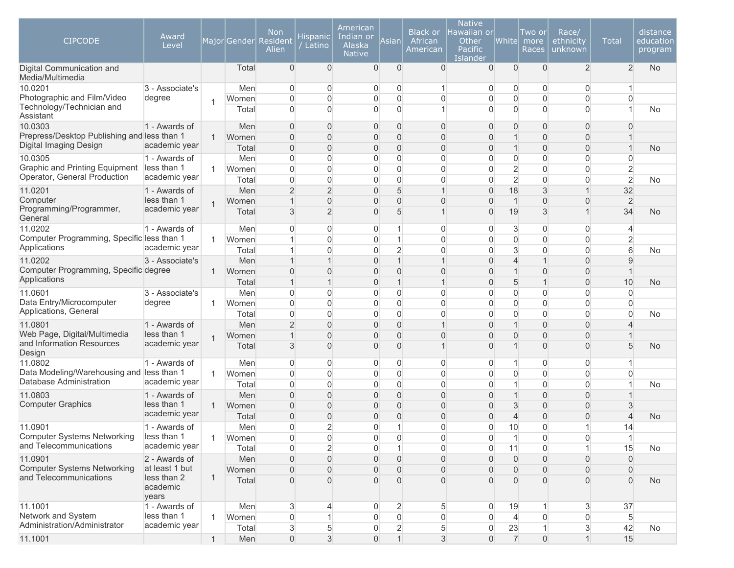| <b>CIPCODE</b>                                                        | Award<br>Level                  |                |       | <b>Non</b><br>Major Gender Resident<br>Alien | Hispanic<br>Latino | American<br>Indian or<br>Alaska<br><b>Native</b> | Asian                | Black or<br>African<br>American | <b>Native</b><br>Hawaiian or<br>Other<br>Pacific<br>Islander | White               | Two or<br>more<br>Races | Race/<br>ethnicity<br>unknown | <b>Total</b>   | distance<br>education<br>program |
|-----------------------------------------------------------------------|---------------------------------|----------------|-------|----------------------------------------------|--------------------|--------------------------------------------------|----------------------|---------------------------------|--------------------------------------------------------------|---------------------|-------------------------|-------------------------------|----------------|----------------------------------|
| Digital Communication and<br>Media/Multimedia                         |                                 |                | Total | $\Omega$                                     | $\overline{0}$     | $\overline{0}$                                   | $\mathbf 0$          | $\Omega$                        | $\mathbf{0}$                                                 | $\mathbf{0}$        | $\mathbf{0}$            | $\overline{2}$                | 2              | <b>No</b>                        |
| 10.0201                                                               | 3 - Associate's                 |                | Men   | $\Omega$                                     | 0                  | 0                                                | 0                    |                                 | $\overline{0}$                                               | 0                   | 0                       | $\Omega$                      |                |                                  |
| Photographic and Film/Video<br>Technology/Technician and              | degree                          | $\overline{1}$ | Women | 0                                            | $\Omega$           | $\overline{0}$                                   | 0                    | $\overline{0}$                  | 0                                                            | $\overline{0}$      | $\overline{0}$          | $\Omega$                      | $\Omega$       |                                  |
| Assistant                                                             |                                 |                | Total | $\Omega$                                     | $\Omega$           | $\Omega$                                         | 0                    |                                 | 0                                                            | $\overline{0}$      | $\overline{0}$          | $\Omega$                      |                | No                               |
| 10.0303                                                               | 1 - Awards of                   |                | Men   | $\Omega$                                     | $\Omega$           | $\mathbf{0}$                                     | $\Omega$             | $\overline{0}$                  | 0                                                            | 0                   | $\mathbf 0$             | $\Omega$                      | $\Omega$       |                                  |
| Prepress/Desktop Publishing and less than 1                           | academic year                   | $\mathbf{1}$   | Women | $\Omega$                                     | $\overline{0}$     | $\mathbf 0$                                      | $\overline{0}$       | $\overline{0}$                  | 0                                                            | $\mathbf 1$         | 0                       | $\overline{0}$                |                |                                  |
| Digital Imaging Design                                                |                                 |                | Total | $\overline{0}$                               | $\overline{0}$     | $\mathbf 0$                                      | 0                    | $\overline{0}$                  | 0                                                            | $\mathbf{1}$        | 0                       | $\overline{0}$                |                | <b>No</b>                        |
| 10.0305                                                               | 1 - Awards of                   |                | Men   | $\Omega$                                     | 0                  | $\overline{0}$                                   | 0                    | $\overline{0}$                  | $\overline{0}$                                               | 0                   | $\overline{0}$          | 0                             | 0              |                                  |
| <b>Graphic and Printing Equipment</b><br>Operator, General Production | less than 1<br>academic year    | 1              | Women | $\Omega$                                     | $\Omega$           | $\overline{0}$                                   | 0                    | $\mathbf 0$                     | 0                                                            | $\overline{2}$      | $\Omega$                | $\Omega$                      | $\overline{2}$ |                                  |
|                                                                       |                                 |                | Total | $\Omega$                                     | $\Omega$           | $\Omega$                                         | 0                    | $\Omega$                        | 0                                                            | $\overline{2}$      | $\Omega$                | $\Omega$                      | $\overline{2}$ | <b>No</b>                        |
| 11.0201<br>Computer                                                   | 1 - Awards of<br>less than 1    |                | Men   | $\overline{2}$                               | $\overline{2}$     | $\mathbf{0}$                                     | 5                    |                                 | 0                                                            | 18                  | 3                       |                               | 32             |                                  |
| Programming/Programmer,                                               | academic year                   |                | Women |                                              | $\Omega$           | 0                                                | $\overline{0}$       | $\overline{0}$                  | 0                                                            | $\mathbf{1}$        | $\overline{0}$          | 0                             | $\overline{2}$ |                                  |
| General                                                               |                                 |                | Total | $\mathbf{3}$                                 | $\overline{2}$     | 0                                                | 5                    |                                 | $\overline{0}$                                               | 19                  | 3                       |                               | 34             | <b>No</b>                        |
| 11.0202                                                               | 1 - Awards of                   |                | Men   | $\Omega$                                     | 0                  | 0                                                |                      | 0                               | 0                                                            | 3                   | 0                       | $\mathbf{0}$                  | 4              |                                  |
| Computer Programming, Specific less than 1                            |                                 |                | Women |                                              | $\Omega$           | $\overline{0}$                                   |                      | $\Omega$                        | $\overline{0}$                                               | 0                   | 0                       | $\Omega$                      | 2              |                                  |
| Applications                                                          | academic year                   |                | Total |                                              | $\Omega$           | 0                                                | $\overline{2}$       | $\Omega$                        | 0                                                            | 3                   | $\mathbf 0$             | $\Omega$                      | 6              | No                               |
| 11.0202                                                               | 3 - Associate's                 |                | Men   |                                              |                    | $\mathbf{0}$                                     |                      |                                 | $\overline{0}$                                               | $\overline{4}$      | $\mathbf 1$             | $\Omega$                      | 9              |                                  |
| Computer Programming, Specific degree<br>Applications                 |                                 | 1              | Women |                                              | $\Omega$           | 0                                                | 0                    | $\Omega$                        | 0                                                            | $\mathbf{1}$        | $\mathbf{0}$            | $\Omega$                      |                |                                  |
|                                                                       |                                 |                | Total |                                              |                    | $\mathbf 0$                                      | $\overline{1}$       |                                 | 0                                                            | 5                   | $\mathbf{1}$            | $\overline{0}$                | 10             | <b>No</b>                        |
| 11.0601                                                               | 3 - Associate's                 |                | Men   | $\Omega$                                     | 0                  | 0                                                | 0                    | 0                               | 0                                                            | $\overline{0}$      | 0                       | $\overline{0}$                | 0              |                                  |
| Data Entry/Microcomputer<br>Applications, General                     | degree                          | -1             | Women | $\Omega$                                     | $\overline{0}$     | $\overline{0}$                                   | 0                    | $\overline{0}$                  | $\overline{0}$                                               | $\overline{0}$      | $\overline{0}$          | $\overline{0}$                | 0              |                                  |
|                                                                       |                                 |                | Total | $\Omega$                                     | 0<br>$\Omega$      | 0                                                | 0                    | $\mathbf 0$                     | 0                                                            | 0                   | $\mathbf 0$             | 0                             | $\overline{0}$ | No                               |
| 11.0801<br>Web Page, Digital/Multimedia                               | 1 - Awards of<br>less than 1    |                | Men   | $\overline{2}$                               | $\Omega$           | $\Omega$                                         | $\Omega$<br>$\Omega$ |                                 | 0                                                            | 1                   | $\Omega$                | $\Omega$                      |                |                                  |
| and Information Resources                                             | academic year                   |                | Women |                                              |                    | 0                                                |                      | $\overline{0}$                  | 0                                                            | $\overline{0}$<br>1 | $\Omega$                | $\Omega$                      |                |                                  |
| Design                                                                |                                 |                | Total | $\mathbf{3}$                                 | $\Omega$           | 0                                                | $\overline{0}$       |                                 | 0                                                            |                     | $\mathbf{0}$            | $\overline{0}$                | 5              | <b>No</b>                        |
| 11.0802                                                               | 1 - Awards of                   |                | Men   | $\Omega$                                     | $\Omega$           | $\mathbf{0}$                                     | 0                    | 0                               | 0                                                            | 1                   | 0                       | $\overline{0}$                |                |                                  |
| Data Modeling/Warehousing and less than 1                             |                                 | 1              | Women | $\Omega$                                     | $\Omega$           | $\overline{0}$                                   | $\overline{0}$       | $\mathbf 0$                     | 0                                                            | 0                   | $\mathbf 0$             | 0                             | 0              |                                  |
| Database Administration                                               | academic year                   |                | Total | $\Omega$                                     | $\Omega$           | 0                                                | 0                    | $\overline{0}$                  | 0                                                            | 1                   | $\overline{0}$          | $\Omega$                      |                | <b>No</b>                        |
| 11.0803                                                               | 1 - Awards of                   |                | Men   | $\Omega$                                     | $\Omega$           | $\overline{0}$                                   | 0                    | $\overline{0}$                  | $\overline{0}$                                               | $\mathbf{1}$        | $\mathbf{0}$            | $\Omega$                      |                |                                  |
| <b>Computer Graphics</b>                                              | less than 1<br>academic year    | 1.             | Women | $\Omega$                                     | $\Omega$           | $\mathbf{0}$                                     | 0                    | $\overline{0}$                  | 0                                                            | 3                   | $\overline{0}$          | $\mathbf{0}$                  | 3              |                                  |
|                                                                       |                                 |                | Total | $\Omega$                                     | $\Omega$           | $\mathbf{0}$                                     | $\Omega$             | $\overline{0}$                  | 0                                                            | $\overline{4}$      | $\overline{0}$          | $\overline{0}$                | $\overline{4}$ | <b>No</b>                        |
| 11.0901                                                               | 1 - Awards of<br>less than 1    |                | Men   | $\Omega$                                     | $\overline{2}$     | $\Omega$                                         |                      | $\mathbf{0}$                    | 0                                                            | 10                  | $\overline{0}$          |                               | 14             |                                  |
| Computer Systems Networking<br>and Telecommunications                 | academic year                   |                | Women | $\overline{0}$                               | $\boldsymbol{0}$   | 0                                                | 0                    | 0                               | $\overline{0}$                                               |                     | 0                       | $\overline{0}$                |                |                                  |
|                                                                       |                                 |                | Total | $\overline{0}$                               | $\overline{2}$     | $\overline{0}$                                   | $\mathbf{1}$         | 0                               | $\overline{0}$                                               | 11                  | $\boldsymbol{0}$        | $\mathbf{1}$                  | 15             | No                               |
| 11.0901<br><b>Computer Systems Networking</b>                         | 2 - Awards of<br>at least 1 but |                | Men   | $\overline{0}$                               | $\mathbf 0$        | $\mathbf{0}$                                     | 0                    | 0                               | 0                                                            | $\overline{0}$      | 0                       | $\overline{0}$                | $\mathbf{0}$   |                                  |
| and Telecommunications                                                | less than 2                     | $\mathbf{1}$   | Women | $\Omega$                                     | $\Omega$           | 0                                                | $\overline{0}$       | $\mathbf 0$                     | 0                                                            | $\overline{0}$      | 0                       | $\overline{0}$                | $\mathbf{0}$   |                                  |
|                                                                       | academic<br>years               |                | Total | $\Omega$                                     | $\Omega$           | 0                                                | $\overline{0}$       | $\overline{0}$                  | 0                                                            | $\overline{0}$      | $\Omega$                | $\Omega$                      | $\Omega$       | No                               |
| 11.1001                                                               | 1 - Awards of                   |                | Men   | 3                                            | 4                  | 0                                                | 2                    | 5                               | $\overline{0}$                                               | 19                  | $\mathbf{1}$            | $\mathbf{3}$                  | 37             |                                  |
| Network and System                                                    | less than 1                     | $\mathbf{1}$   | Women | $\Omega$                                     |                    | $\overline{0}$                                   | $\mathbf 0$          | $\overline{0}$                  | $\overline{0}$                                               | $\overline{4}$      | $\boldsymbol{0}$        | $\overline{0}$                | 5              |                                  |
| Administration/Administrator                                          | academic year                   |                | Total | 3                                            | 5                  | $\mathsf{O}\xspace$                              | 2                    | 5                               | $\overline{0}$                                               | 23                  | $\mathbf{1}$            | $\sqrt{3}$                    | 42             | No                               |
| 11.1001                                                               |                                 | $\mathbf{1}$   | Men   | $\boldsymbol{0}$                             | $\mathfrak{S}$     | $\mathsf{O}\xspace$                              | $\mathbf{1}$         | $\overline{3}$                  | $\overline{0}$                                               | $\overline{7}$      | $\boldsymbol{0}$        | $\mathbf{1}$                  | 15             |                                  |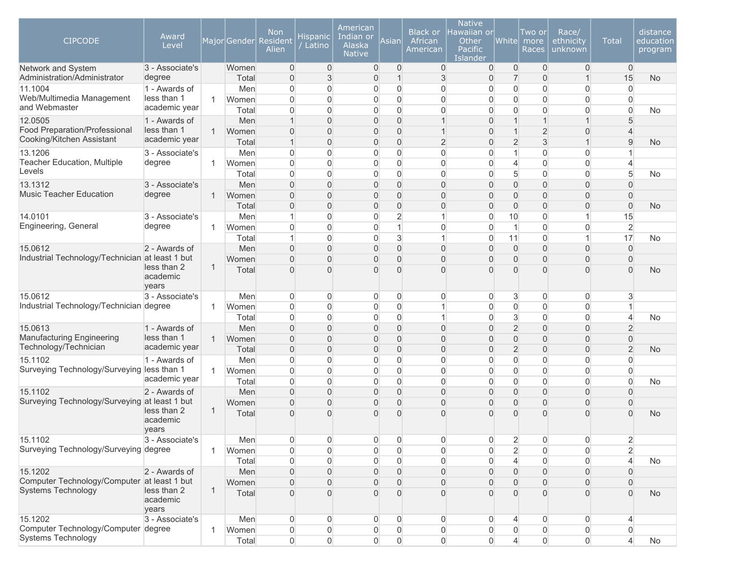| <b>CIPCODE</b>                                             | Award<br>Level                   |              | Major Gender   | Non<br>Resident<br>Alien         | Hispanic<br>Latino  | American<br>Indian or<br>Alaska<br><b>Native</b> | Asian                            | <b>Black or</b><br>African<br>American | <b>Native</b><br>lawaiian or<br>Other<br><b>Pacific</b><br>Islander | Whitel                           | Two or<br>more<br>Races          | Race/<br>ethnicity<br>unknown      | <b>Total</b>                     | distance<br>education<br>program |
|------------------------------------------------------------|----------------------------------|--------------|----------------|----------------------------------|---------------------|--------------------------------------------------|----------------------------------|----------------------------------------|---------------------------------------------------------------------|----------------------------------|----------------------------------|------------------------------------|----------------------------------|----------------------------------|
| Network and System<br>Administration/Administrator         | 3 - Associate's<br>degree        |              | Women<br>Total | $\overline{0}$<br>$\overline{0}$ | $\mathbf 0$<br>3    | $\mathbf 0$<br>0                                 | $\overline{0}$<br>$\mathbf{1}$   | $\overline{0}$<br>$\mathfrak{S}$       | 0<br>$\mathbf 0$                                                    | $\overline{0}$<br>$\overline{7}$ | $\overline{0}$<br>$\overline{0}$ | $\overline{0}$<br>$\mathbf{1}$     | $\overline{0}$<br>15             | <b>No</b>                        |
| 11.1004                                                    | 1 - Awards of                    |              | Men            | 0                                | 0                   | 0                                                | $\overline{0}$                   | $\boldsymbol{0}$                       | $\overline{0}$                                                      | $\overline{0}$                   | $\mathbf 0$                      | $\overline{0}$                     | $\overline{0}$                   |                                  |
| Web/Multimedia Management                                  | less than 1                      | $\mathbf{1}$ | Women          | $\overline{0}$                   | $\overline{0}$      | 0                                                | $\overline{0}$                   | $\overline{0}$                         | $\overline{0}$                                                      | $\overline{0}$                   | $\mathbf 0$                      | $\mathbf 0$                        | $\Omega$                         |                                  |
| and Webmaster                                              | academic year                    |              | Total          | $\overline{0}$                   | $\overline{0}$      | 0                                                | $\overline{0}$                   | $\overline{0}$                         | $\mathbf 0$                                                         | $\overline{0}$                   | $\mathbf 0$                      | $\overline{0}$                     | $\Omega$                         | No                               |
| 12.0505                                                    | 1 - Awards of<br>less than 1     |              | Men            | 1                                | 0                   | 0                                                | $\overline{0}$                   | $\mathbf{1}$                           | $\overline{0}$                                                      | $\mathbf{1}$                     | $\overline{1}$                   | $\mathbf{1}$                       | 5                                |                                  |
| Food Preparation/Professional<br>Cooking/Kitchen Assistant | academic year                    | $\mathbf{1}$ | Women<br>Total | $\overline{0}$<br>$\mathbf{1}$   | $\overline{0}$<br>0 | 0<br>0                                           | $\overline{0}$<br>$\overline{0}$ | $\mathbf{1}$<br>$\overline{2}$         | $\Omega$<br>$\overline{0}$                                          | $\mathbf{1}$<br>$\overline{2}$   | $\overline{2}$<br>$\mathfrak{S}$ | 0<br>$\mathbf{1}$                  | $\overline{4}$<br>$9\,$          | <b>No</b>                        |
| 13.1206                                                    | 3 - Associate's                  |              | Men            | $\overline{0}$                   | 0                   | 0                                                | $\boldsymbol{0}$                 | $\boldsymbol{0}$                       | $\mathsf{O}\xspace$                                                 | $\mathbf{1}$                     | $\mathbf 0$                      | 0                                  | $\mathbf{1}$                     |                                  |
| <b>Teacher Education, Multiple</b>                         | degree                           | 1            | Women          | $\overline{0}$                   | 0                   | 0                                                | $\boldsymbol{0}$                 | $\boldsymbol{0}$                       | $\mathsf{O}\xspace$                                                 | $\overline{4}$                   | $\mathbf 0$                      | $\overline{0}$                     | $\overline{4}$                   |                                  |
| Levels                                                     |                                  |              | Total          | 0                                | 0                   | 0                                                | $\overline{0}$                   | $\overline{0}$                         | $\boldsymbol{0}$                                                    | 5                                | $\mathbf 0$                      | $\overline{0}$                     | 5                                | No                               |
| 13.1312                                                    | 3 - Associate's                  |              | Men            | $\overline{0}$                   | 0                   | 0                                                | $\overline{0}$                   | $\mathbf 0$                            | $\mathbf 0$                                                         | $\overline{0}$                   | $\overline{0}$                   | $\overline{0}$                     | $\mathbf{0}$                     |                                  |
| <b>Music Teacher Education</b>                             | degree                           | $\mathbf{1}$ | Women          | $\overline{0}$                   | $\overline{0}$      | $\overline{0}$                                   | $\overline{0}$                   | $\overline{0}$                         | $\overline{0}$                                                      | 0                                | $\overline{0}$                   | $\overline{0}$                     | $\overline{0}$                   |                                  |
|                                                            |                                  |              | Total          | $\overline{0}$                   | 0                   | 0                                                | $\overline{0}$                   | $\overline{0}$                         | $\overline{0}$                                                      | 0                                | $\overline{0}$                   | $\boldsymbol{0}$                   | $\overline{0}$                   | <b>No</b>                        |
| 14.0101<br>Engineering, General                            | 3 - Associate's<br>degree        |              | Men            | 1<br>$\overline{0}$              | 0<br>$\overline{0}$ | 0<br>0                                           | $\overline{2}$<br>$\mathbf{1}$   | $\mathbf{1}$<br>$\overline{0}$         | $\overline{0}$<br>$\overline{0}$                                    | 10<br>$\mathbf{1}$               | $\mathbf 0$<br>$\mathbf 0$       | 1<br>$\overline{0}$                | 15<br>$\overline{2}$             |                                  |
|                                                            |                                  | $\mathbf{1}$ | Women<br>Total | 1                                | $\overline{0}$      | 0                                                | 3                                | $\mathbf{1}$                           | $\mathbf{0}$                                                        | 11                               | $\mathbf 0$                      | $\mathbf{1}$                       | 17                               | No                               |
| 15.0612                                                    | 2 - Awards of                    |              | Men            | $\overline{0}$                   | $\overline{0}$      | 0                                                | $\mathbf 0$                      | $\overline{0}$                         | $\overline{0}$                                                      | $\overline{0}$                   | $\overline{0}$                   | $\overline{0}$                     | $\Omega$                         |                                  |
| Industrial Technology/Technician at least 1 but            |                                  |              | Women          | $\overline{0}$                   | $\overline{0}$      | $\overline{0}$                                   | $\overline{0}$                   | $\overline{0}$                         | $\mathbf{0}$                                                        | $\overline{0}$                   | $\overline{0}$                   | $\overline{0}$                     | $\Omega$                         |                                  |
|                                                            | less than 2<br>academic<br>years | $\mathbf{1}$ | Total          | $\overline{0}$                   | $\Omega$            | $\overline{0}$                                   | $\Omega$                         | $\Omega$                               | $\Omega$                                                            | $\Omega$                         | $\Omega$                         | 0                                  | $\Omega$                         | <b>No</b>                        |
| 15.0612                                                    | 3 - Associate's                  |              | Men            | 0                                | 0                   | 0                                                | $\mathbf 0$                      | $\overline{0}$                         | 0                                                                   | 3                                | 0                                | $\mathbf 0$                        | 3                                |                                  |
| Industrial Technology/Technician degree                    |                                  | $\mathbf{1}$ | Women          | $\overline{0}$                   | 0                   | 0                                                | $\overline{0}$                   | $\mathbf{1}$                           | $\mathbf 0$                                                         | $\boldsymbol{0}$                 | $\mathbf 0$                      | $\overline{0}$                     | $\mathbf{1}$                     |                                  |
|                                                            |                                  |              | Total          | 0                                | $\overline{0}$      | 0                                                | $\Omega$                         | $\mathbf{1}$                           | $\mathbf{0}$                                                        | $\mathbf{3}$                     | $\mathbf 0$                      | $\overline{0}$                     | $\overline{4}$                   | <b>No</b>                        |
| 15.0613<br><b>Manufacturing Engineering</b>                | 1 - Awards of<br>less than 1     | $\mathbf{1}$ | Men<br>Women   | $\overline{0}$<br>$\overline{0}$ | 0<br>$\overline{0}$ | 0<br>0                                           | $\overline{0}$<br>$\overline{0}$ | $\boldsymbol{0}$<br>$\overline{0}$     | $\overline{0}$<br>$\overline{0}$                                    | $\overline{2}$<br>$\overline{0}$ | $\mathbf 0$<br>$\mathbf 0$       | $\overline{0}$<br>$\boldsymbol{0}$ | $\overline{2}$<br>$\overline{0}$ |                                  |
| Technology/Technician                                      | academic year                    |              | Total          | $\overline{0}$                   | 0                   | 0                                                | $\overline{0}$                   | $\overline{0}$                         | $\overline{0}$                                                      | $\overline{2}$                   | $\mathbf 0$                      | $\boldsymbol{0}$                   | $\overline{2}$                   | <b>No</b>                        |
| 15.1102                                                    | 1 - Awards of                    |              | Men            | $\overline{0}$                   | 0                   | 0                                                | $\overline{0}$                   | $\overline{0}$                         | $\mathbf{0}$                                                        | $\overline{0}$                   | $\mathbf 0$                      | $\overline{0}$                     | $\Omega$                         |                                  |
| Surveying Technology/Surveying less than 1                 |                                  | $\mathbf{1}$ | Women          | $\overline{0}$                   | $\overline{0}$      | 0                                                | $\overline{0}$                   | $\overline{0}$                         | $\overline{0}$                                                      | $\overline{0}$                   | $\mathbf 0$                      | $\overline{0}$                     | $\Omega$                         |                                  |
|                                                            | academic year                    |              | Total          | 0                                | 0                   | 0                                                | $\overline{0}$                   | $\overline{0}$                         | $\mathbf{0}$                                                        | $\overline{0}$                   | $\mathbf 0$                      | $\overline{0}$                     | $\overline{0}$                   | <b>No</b>                        |
| 15.1102                                                    | 2 - Awards of                    |              | Men            | $\overline{0}$                   | 0                   | 0                                                | $\mathsf{O}\xspace$              | $\boldsymbol{0}$                       | $\boldsymbol{0}$                                                    | $\overline{0}$                   | $\mathbf 0$                      | $\boldsymbol{0}$                   | $\mathbf{0}$                     |                                  |
| Surveying Technology/Surveying at least 1 but              |                                  |              | Women          | $\overline{0}$                   | 0                   | 0                                                | $\mathsf{O}\xspace$              | $\boldsymbol{0}$                       | $\boldsymbol{0}$                                                    | 0                                | $\mathbf 0$                      | $\boldsymbol{0}$                   | $\overline{0}$                   |                                  |
|                                                            | less than 2<br>academic<br>years | 1            | Total          | $\overline{0}$                   | $\overline{0}$      | $\overline{0}$                                   | $\mathbf{0}$                     | $\Omega$                               | $\Omega$                                                            | $\Omega$                         | $\overline{0}$                   | 0                                  | $\Omega$                         | <b>No</b>                        |
| 15.1102                                                    | 3 - Associate's                  |              | Men            | $\overline{0}$                   | 0                   | 0                                                | $\mathbf 0$                      | $\overline{0}$                         | $\overline{0}$                                                      | $\overline{2}$                   | $\mathbf 0$                      | $\overline{0}$                     | $\overline{2}$                   |                                  |
| Surveying Technology/Surveying degree                      |                                  | 1            | Women          | 0                                | 0                   | 0                                                | $\overline{0}$                   | $\boldsymbol{0}$                       | $\mathbf{0}$                                                        | $\overline{2}$                   | $\mathbf 0$                      | $\overline{0}$                     | $\overline{2}$                   |                                  |
|                                                            |                                  |              | Total          | 0                                | 0                   | 0                                                | $\overline{0}$                   | $\overline{0}$                         | 0                                                                   | $\overline{4}$                   | 0                                | $\overline{0}$                     | $\overline{4}$                   | <b>No</b>                        |
| 15.1202<br>Computer Technology/Computer at least 1 but     | 2 - Awards of                    |              | Men            | 0                                | 0                   | 0                                                | $\overline{0}$                   | $\overline{0}$                         | $\overline{0}$                                                      | $\overline{0}$                   | $\mathbf 0$                      | $\overline{0}$                     | $\overline{0}$                   |                                  |
| <b>Systems Technology</b>                                  | less than 2<br>academic<br>years | 1            | Women<br>Total | $\overline{0}$<br>$\overline{0}$ | 0<br>$\overline{0}$ | 0<br>$\overline{0}$                              | $\overline{0}$<br>$\Omega$       | $\boldsymbol{0}$<br>$\overline{0}$     | 0<br>$\overline{0}$                                                 | $\overline{0}$<br>$\Omega$       | $\mathbf{0}$<br>$\Omega$         | $\mathbf 0$<br>0                   | $\Omega$<br>$\Omega$             | <b>No</b>                        |
| 15.1202                                                    | 3 - Associate's                  |              | Men            | 0                                | 0                   | 0                                                | $\overline{0}$                   | $\overline{0}$                         | 0                                                                   | 4                                | 0                                | $\overline{0}$                     | 4                                |                                  |
| Computer Technology/Computer degree                        |                                  | $\mathbf 1$  | Women          | 0                                | 0                   | 0                                                | $\overline{0}$                   | $\boldsymbol{0}$                       | 0                                                                   | 0                                | 0                                | $\mathbf 0$                        | $\overline{0}$                   |                                  |
| <b>Systems Technology</b>                                  |                                  |              | Total          | $\overline{0}$                   | $\overline{0}$      | 0                                                | $\Omega$                         | $\overline{0}$                         | $\Omega$                                                            | $\overline{4}$                   | $\overline{0}$                   | $\overline{0}$                     | $\overline{4}$                   | No                               |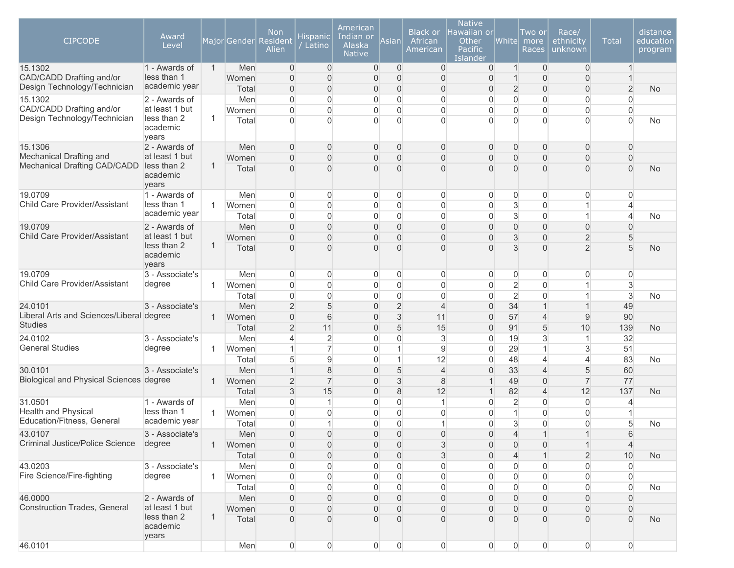| <b>CIPCODE</b>                                           | Award<br>Level                                     |              | MajorGender    | <b>Non</b><br><b>Resident</b><br>Alien | Hispanic<br>Latino         | American<br>Indian or<br>Alaska<br><b>Native</b> | Asian                            | <b>Black or</b><br>African<br>American | <b>Native</b><br>lawaiian or<br>Other<br><b>Pacific</b><br>Islander | <b>White</b>                     | Two or<br>more<br>Races    | Race/<br>ethnicity<br>unknown    | <b>Total</b>               | distance<br>education<br>program |
|----------------------------------------------------------|----------------------------------------------------|--------------|----------------|----------------------------------------|----------------------------|--------------------------------------------------|----------------------------------|----------------------------------------|---------------------------------------------------------------------|----------------------------------|----------------------------|----------------------------------|----------------------------|----------------------------------|
| 15.1302                                                  | 1 - Awards of                                      | $\mathbf{1}$ | Men            | $\overline{0}$                         | $\overline{0}$             | $\mathbf 0$                                      | $\mathbf 0$                      | $\overline{0}$                         | 0                                                                   | $\mathbf{1}$                     | $\overline{0}$             | $\overline{0}$                   | -1                         |                                  |
| CAD/CADD Drafting and/or<br>Design Technology/Technician | less than 1<br>academic year                       |              | Women          | $\Omega$                               | $\Omega$                   | 0                                                | $\overline{0}$                   | $\overline{0}$                         | 0                                                                   | $\mathbf{1}$                     | $\mathbf{0}$               | $\boldsymbol{0}$                 |                            |                                  |
| 15.1302                                                  | 2 - Awards of                                      |              | Total<br>Men   | $\Omega$<br>$\overline{0}$             | $\Omega$<br>$\overline{0}$ | 0<br>$\overline{0}$                              | $\overline{0}$<br>$\overline{0}$ | $\overline{0}$<br>$\overline{0}$       | 0<br>$\overline{0}$                                                 | $\overline{2}$<br>$\overline{0}$ | $\mathbf 0$<br>$\mathbf 0$ | $\overline{0}$<br>$\overline{0}$ | $\overline{2}$<br>$\Omega$ | <b>No</b>                        |
| CAD/CADD Drafting and/or                                 | at least 1 but                                     |              | Women          | $\overline{0}$                         | $\overline{0}$             | 0                                                | $\overline{0}$                   | $\overline{0}$                         | $\overline{0}$                                                      | $\overline{0}$                   | $\Omega$                   | $\overline{0}$                   | $\Omega$                   |                                  |
| Design Technology/Technician                             | less than 2<br>academic<br>years                   | $\mathbf{1}$ | Total          | $\Omega$                               | $\Omega$                   | $\overline{0}$                                   | $\Omega$                         | $\Omega$                               | $\overline{0}$                                                      | $\Omega$                         | $\Omega$                   | $\Omega$                         | $\Omega$                   | No                               |
| 15.1306                                                  | 2 - Awards of                                      |              | Men            | $\overline{0}$                         | $\mathbf{0}$               | $\mathbf 0$                                      | $\boldsymbol{0}$                 | $\overline{0}$                         | 0                                                                   | $\overline{0}$                   | $\mathbf 0$                | $\mathbf 0$                      | $\overline{0}$             |                                  |
| Mechanical Drafting and                                  | at least 1 but                                     |              | Women          | $\overline{0}$                         | $\overline{0}$             | 0                                                | $\boldsymbol{0}$                 | $\overline{0}$                         | $\overline{0}$                                                      | 0                                | $\mathbf 0$                | $\mathbf{0}$                     | $\mathbf{0}$               |                                  |
| Mechanical Drafting CAD/CADD                             | less than 2<br>academic<br>years                   | $\mathbf{1}$ | Total          | $\Omega$                               | $\Omega$                   | $\overline{0}$                                   | $\overline{0}$                   | $\Omega$                               | $\Omega$                                                            | $\overline{0}$                   | $\mathbf{0}$               | $\overline{0}$                   | $\Omega$                   | <b>No</b>                        |
| 19.0709                                                  | 1 - Awards of                                      |              | Men            | $\overline{0}$                         | 0                          | $\overline{0}$                                   | $\overline{0}$                   | $\overline{0}$                         | 0                                                                   | $\overline{0}$                   | $\overline{0}$             | $\overline{0}$                   | $\Omega$                   |                                  |
| Child Care Provider/Assistant                            | less than 1                                        | $\mathbf{1}$ | Women          | $\Omega$                               | $\overline{0}$             | $\boldsymbol{0}$                                 | 0                                | $\overline{0}$                         | 0                                                                   | $\mathbf{3}$                     | $\mathbf 0$                | $\mathbf{1}$                     | 4                          |                                  |
|                                                          | academic year                                      |              | Total          | $\Omega$                               | $\overline{0}$             | $\overline{0}$                                   | $\overline{0}$                   | $\overline{0}$                         | $\overline{0}$                                                      | $\overline{3}$                   | $\mathbf 0$                | $\mathbf{1}$                     | $\overline{4}$             | No                               |
| 19.0709                                                  | 2 - Awards of                                      |              | Men            | 0                                      | $\overline{0}$             | $\overline{0}$                                   | $\overline{0}$                   | $\overline{0}$                         | $\overline{0}$                                                      | $\overline{0}$                   | $\overline{0}$             | $\boldsymbol{0}$                 | $\Omega$                   |                                  |
| <b>Child Care Provider/Assistant</b>                     | at least 1 but<br>less than 2<br>academic<br>years | 1            | Women<br>Total | $\overline{0}$<br>$\overline{0}$       | $\overline{0}$<br>$\Omega$ | 0<br>$\overline{0}$                              | $\mathbf 0$<br>$\Omega$          | $\overline{0}$<br>$\Omega$             | $\Omega$<br>$\Omega$                                                | 3<br>3                           | $\mathbf 0$<br>$\Omega$    | $\overline{2}$<br>$\overline{2}$ | 5<br>5                     | <b>No</b>                        |
| 19.0709                                                  | 3 - Associate's                                    |              | Men            | $\overline{0}$                         | 0                          | $\overline{0}$                                   | $\overline{0}$                   | $\overline{0}$                         | 0                                                                   | $\overline{0}$                   | 0                          | $\overline{0}$                   | 0                          |                                  |
| Child Care Provider/Assistant                            | degree                                             | $\mathbf{1}$ | Women          | $\Omega$                               | $\overline{0}$             | $\boldsymbol{0}$                                 | $\overline{0}$                   | $\overline{0}$                         | 0                                                                   | $\overline{2}$                   | $\mathbf 0$                | 1                                | $\mathbf{3}$               |                                  |
|                                                          |                                                    |              | Total          | $\overline{0}$                         | 0                          | 0                                                | $\overline{0}$                   | 0                                      | $\mathbf 0$                                                         | $\overline{2}$                   | $\mathbf 0$                | $\mathbf 1$                      | 3                          | No                               |
| 24.0101                                                  | 3 - Associate's                                    |              | Men            | $\overline{2}$                         | 5                          | 0                                                | $\overline{2}$                   | $\overline{4}$                         | $\overline{0}$                                                      | 34                               | $\overline{1}$             | $\mathbf{1}$                     | 49                         |                                  |
| Liberal Arts and Sciences/Liberal degree                 |                                                    | $\mathbf{1}$ | Women          | $\overline{0}$                         | 6                          | 0                                                | $\mathfrak{S}$                   | 11                                     | $\overline{0}$                                                      | 57                               | $\overline{4}$             | $9\,$                            | 90                         |                                  |
| <b>Studies</b>                                           |                                                    |              | Total          | $\overline{2}$                         | 11                         | 0                                                | 5                                | 15                                     | $\overline{0}$                                                      | 91                               | 5                          | 10                               | 139                        | <b>No</b>                        |
| 24.0102                                                  | 3 - Associate's                                    |              | Men            | 4                                      | $\overline{2}$             | 0                                                | $\overline{0}$                   | 3                                      | $\Omega$                                                            | 19                               | 3                          | $\mathbf{1}$                     | 32                         |                                  |
| <b>General Studies</b>                                   | degree                                             | $\mathbf{1}$ | Women          | $\mathbf{1}$                           | $\overline{7}$             | $\boldsymbol{0}$                                 | $\mathbf{1}$                     | $\overline{9}$                         | $\overline{0}$                                                      | 29                               | $\overline{1}$             | 3                                | 51                         |                                  |
|                                                          |                                                    |              | Total          | $5\overline{)}$                        | $\overline{9}$             | 0                                                | $\mathbf{1}$                     | 12                                     | 0                                                                   | 48                               | $\overline{4}$             | $\overline{4}$                   | 83                         | No                               |
| 30.0101<br>Biological and Physical Sciences degree       | 3 - Associate's                                    |              | Men            | 1                                      | $\,8\,$                    | 0                                                | $\overline{5}$                   | $\overline{4}$                         | $\boldsymbol{0}$                                                    | 33                               | $\overline{4}$             | 5                                | 60                         |                                  |
|                                                          |                                                    | $\mathbf{1}$ | Women          | $\overline{2}$                         | $\overline{7}$             | 0                                                | $\mathfrak{S}$                   | 8                                      | 1                                                                   | 49                               | $\mathbf 0$                | $\overline{7}$                   | 77                         |                                  |
| 31.0501                                                  | 1 - Awards of                                      |              | Total          | 3<br>$\Omega$                          | 15<br>1                    | 0<br>0                                           | $\,8\,$<br>$\Omega$              | 12<br>$\mathbf{1}$                     | 1<br>0                                                              | 82                               | $\overline{4}$<br>$\Omega$ | 12                               | 137<br>4                   | <b>No</b>                        |
| <b>Health and Physical</b>                               | less than 1                                        | $\mathbf{1}$ | Men<br>Women   | $\Omega$                               | $\Omega$                   | 0                                                | $\Omega$                         | $\overline{0}$                         | $\overline{0}$                                                      | $\overline{c}$<br>$\overline{1}$ | 0                          | $\overline{0}$<br>$\overline{0}$ |                            |                                  |
| Education/Fitness, General                               | academic year                                      |              | Total          | 0                                      | $\overline{1}$             | 0                                                | $\mathbf 0$                      | 1                                      | 0                                                                   | 3                                | $\mathbf 0$                | $\overline{0}$                   | 5                          | No                               |
| 43.0107                                                  | 3 - Associate's                                    |              | Men            | $\Omega$                               | $\Omega$                   | $\overline{0}$                                   | $\Omega$                         | $\Omega$                               | $\Omega$                                                            | $\Delta$                         |                            | $\overline{1}$                   | 6                          |                                  |
| Criminal Justice/Police Science                          | degree                                             |              | Women          | 0                                      | $\overline{0}$             | 0                                                | 0                                | 3                                      | 0                                                                   | $\overline{0}$                   | $\mathbf 0$                | 1                                | 4                          |                                  |
|                                                          |                                                    |              | Total          | $\Omega$                               | 0                          | 0                                                | $\mathbf 0$                      | 3                                      | 0                                                                   | 4                                |                            | $\overline{2}$                   | 10                         | No                               |
| 43.0203                                                  | 3 - Associate's                                    |              | Men            | 0                                      | 0                          | 0                                                | 0                                | $\mathbf 0$                            | 0                                                                   | $\boldsymbol{0}$                 | 0                          | $\overline{0}$                   | 0                          |                                  |
| Fire Science/Fire-fighting                               | degree                                             | $\mathbf{1}$ | Women          | 0                                      | 0                          | 0                                                | 0                                | $\overline{0}$                         | 0                                                                   | $\mathsf{O}\xspace$              | 0                          | $\overline{0}$                   | 0                          |                                  |
|                                                          |                                                    |              | Total          | 0                                      | 0                          | 0                                                | 0                                | $\overline{0}$                         | 0                                                                   | $\overline{0}$                   | 0                          | $\overline{0}$                   | $\overline{0}$             | No                               |
| 46.0000                                                  | 2 - Awards of                                      |              | Men            | 0                                      | 0                          | 0                                                | $\mathbf 0$                      | $\overline{0}$                         | 0                                                                   | $\overline{0}$                   | 0                          | $\mathbf 0$                      | $\mathbf{0}$               |                                  |
| <b>Construction Trades, General</b>                      | at least 1 but                                     |              | Women          | 0                                      | 0                          | 0                                                | 0                                | $\overline{0}$                         | 0                                                                   | 0                                | $\mathbf 0$                | $\mathbf 0$                      | $\mathbf{0}$               |                                  |
|                                                          | less than 2<br>academic<br>years                   | $\mathbf{1}$ | Total          | $\overline{0}$                         | $\overline{0}$             | 0                                                | $\overline{0}$                   | $\boldsymbol{0}$                       | 0                                                                   | $\overline{0}$                   | $\mathbf{0}$               | $\mathbf{0}$                     | $\Omega$                   | No                               |
| 46.0101                                                  |                                                    |              | Men            | $\overline{0}$                         | $\overline{0}$             | $\overline{0}$                                   | $\mathsf{O}\xspace$              | $\overline{0}$                         | $\mathsf{O}\xspace$                                                 | $\overline{0}$                   | $\boldsymbol{0}$           | $\mathsf{O}\xspace$              | $\overline{0}$             |                                  |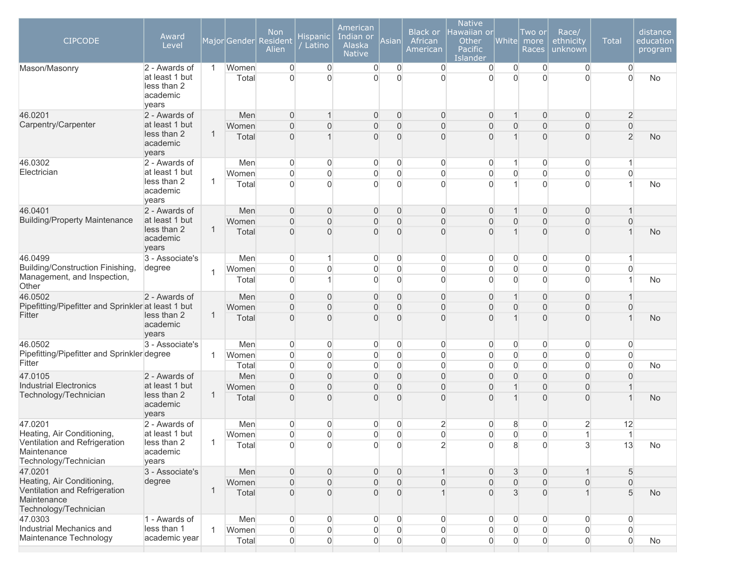| $\overline{0}$<br>$\overline{0}$<br>at least 1 but<br>$\Omega$<br>$\Omega$<br>U<br>$\Omega$<br>$\Omega$<br>$\Omega$<br>$\Omega$<br>$\Omega$<br>$\mathbf{0}$<br>$\Omega$<br>No<br>Total<br>less than 2<br>academic<br>years<br>2 - Awards of<br>Men<br>$\Omega$<br>0<br>$\overline{0}$<br>$\overline{0}$<br>$\overline{2}$<br>$\mathbf{0}$<br>$\overline{0}$<br>$\overline{0}$<br>$\mathbf 1$<br>at least 1 but<br>$\overline{0}$<br>$\overline{0}$<br>$\overline{0}$<br>$\Omega$<br>$\overline{0}$<br>Women<br>$\Omega$<br>0<br>$\mathbf{0}$<br>$\overline{0}$<br>0<br>less than 2<br>1<br>$\overline{0}$<br>$\overline{2}$<br>$\Omega$<br>$\Omega$<br>$\overline{0}$<br>$\Omega$<br>$\overline{0}$<br>Total<br>$\Omega$<br><b>No</b><br>academic<br>years<br>46.0302<br>$\overline{0}$<br>2 - Awards of<br>Men<br>0<br>0<br>0<br>0<br>0<br>0<br>$\mathbf 0$<br>$\mathbf{1}$<br>1<br>at least 1 but<br>$\Omega$<br>$\Omega$<br>0<br>$\overline{0}$<br>$\overline{0}$<br>$\mathbf 0$<br>$\overline{0}$<br>$\mathbf 0$<br>$\Omega$<br>$\mathbf{0}$<br>Women<br>less than 2<br>$\mathbf{1}$<br>$\Omega$<br>$\overline{0}$<br>$\overline{0}$<br>Total<br>U<br>$\Omega$<br>$\Omega$<br>$\mathbf{0}$<br>$\Omega$<br>No<br>academic<br>years<br>2 - Awards of<br>Men<br>$\overline{0}$<br>$\overline{0}$<br>0<br>$\mathbf 0$<br>$\mathbf 0$<br>$\mathbf 0$<br>$\mathbf 0$<br>$\overline{0}$<br>$\mathbf 1$<br><b>Building/Property Maintenance</b><br>at least 1 but<br>$\overline{0}$<br>$\overline{0}$<br>0<br>$\overline{0}$<br>$\mathbf 0$<br>$\overline{0}$<br>$\overline{0}$<br>$\Omega$<br>0<br>Women<br>$\Omega$<br>less than 2<br>1<br>$\overline{0}$<br>$\overline{0}$<br>$\Omega$<br>$\overline{0}$<br>$\Omega$<br>$\overline{0}$<br>Total<br>$\Omega$<br>$\Omega$<br><b>No</b><br>academic<br>years<br>3 - Associate's<br>0<br>0<br>$\overline{0}$<br>$\overline{0}$<br>$\overline{0}$<br>$\overline{0}$<br>$\mathbf 0$<br>$\overline{0}$<br>Men<br>$\mathbf{1}$<br>Building/Construction Finishing,<br>degree<br>$\mathsf{O}\xspace$<br>$\overline{0}$<br>0<br>$\mathbf 0$<br>$\overline{0}$<br>$\boldsymbol{0}$<br>$\mathbf 0$<br>$\overline{0}$<br>$\overline{0}$<br>0<br>Women<br>$\mathbf{1}$<br>0<br>$\Omega$<br>$\Omega$<br>$\Omega$<br>$\overline{0}$<br>$\mathbf{0}$<br>$\mathbf{0}$<br>$\overline{0}$<br>Total<br>No<br>$\overline{0}$<br>$\boldsymbol{0}$<br>2 - Awards of<br>Men<br>$\overline{0}$<br>0<br>$\overline{0}$<br>$\mathbf 0$<br>$\mathbf{1}$<br>$\mathbf 0$<br>$\mathbf 0$<br>$\mathbf 1$<br>Pipefitting/Pipefitter and Sprinkler at least 1 but<br>$\overline{0}$<br>$\overline{0}$<br>$\overline{0}$<br>$\Omega$<br>$\overline{0}$<br>$\overline{0}$<br>$\overline{0}$<br>$\overline{0}$<br>$\Omega$<br>$\overline{0}$<br>Women<br>less than 2<br>$\mathbf{1}$<br>$\overline{0}$<br>$\overline{0}$<br>$\overline{0}$<br>$\Omega$<br>$\overline{0}$<br>$\Omega$<br>$\overline{0}$<br>Total<br>$\Omega$<br><b>No</b><br>academic<br>years<br>3 - Associate's<br>Men<br>0<br>0<br>0<br>$\overline{0}$<br>$\overline{0}$<br>$\overline{0}$<br>$\overline{0}$<br>0<br>$\overline{0}$<br>$\overline{0}$<br>Pipefitting/Pipefitter and Sprinkler degree<br>$\mathsf{O}\xspace$<br>$\Omega$<br>$\overline{0}$<br>0<br>$\mathbf 0$<br>$\boldsymbol{0}$<br>$\overline{0}$<br>$\overline{0}$<br>$\overline{0}$<br>Women<br>$\mathbf 0$<br>$\mathbf{1}$<br>Fitter<br>$\overline{0}$<br>$\mathbf 0$<br>$\overline{0}$<br>$\overline{0}$<br>$\Omega$<br>$\overline{0}$<br>0<br>$\overline{0}$<br>$\Omega$<br>$\overline{0}$<br>Total<br>No<br>47.0105<br>2 - Awards of<br>Men<br>$\overline{0}$<br>$\overline{0}$<br>$\overline{0}$<br>$\overline{0}$<br>$\overline{0}$<br>$\overline{0}$<br>$\overline{0}$<br>$\overline{0}$<br>$\Omega$<br>$\Omega$<br><b>Industrial Electronics</b><br>at least 1 but<br>0<br>$\overline{0}$<br>0<br>$\overline{0}$<br>$\mathbf 0$<br>$\overline{0}$<br>$\overline{0}$<br>$\boldsymbol{0}$<br>Women<br>less than 2<br>1<br>$\overline{0}$<br>$\Omega$<br>$\Omega$<br>$\Omega$<br>$\Omega$<br>$\overline{0}$<br>$\Omega$<br>$\overline{0}$<br>Total<br>No<br>academic<br>years<br>47.0201<br>0<br>$\overline{2}$<br>$\overline{2}$<br>12<br>2 - Awards of<br>Men<br>$\mathbf{0}$<br>0<br>0<br>0<br>8<br>0<br>Heating, Air Conditioning,<br>at least 1 but<br>Women<br>0<br>0<br>0<br>$\mathsf{O}\xspace$<br>$\mathsf{O}\xspace$<br>$\boldsymbol{0}$<br>$\boldsymbol{0}$<br>$\mathbf{1}$<br>0<br>$\overline{A}$<br>Ventilation and Refrigeration<br>less than 2<br>1<br>0<br>$\overline{2}$<br>$\overline{0}$<br>8<br>$\overline{0}$<br>3<br>13<br>Total<br>$\Omega$<br>$\Omega$<br>0<br>No<br>academic<br>years<br>47.0201<br>3 - Associate's<br>Men<br>$\Omega$<br>$\overline{0}$<br>0<br>$\overline{0}$<br>$\overline{0}$<br>3<br>$\mathbf 0$<br>5<br>$\mathbf{1}$<br>$\mathbf{1}$<br>Heating, Air Conditioning,<br>degree<br>$\overline{0}$<br>$\overline{0}$<br>$\overline{0}$<br>$\Omega$<br>$\Omega$<br>0<br>$\mathbf{0}$<br>$\Omega$<br>$\mathbf{0}$<br>$\Omega$<br>Women<br>1<br>$\overline{0}$<br>$\mathfrak{S}$<br>5<br>Total<br>$\Omega$<br>$\overline{0}$<br>$\overline{1}$<br>0<br>$\overline{0}$<br><b>No</b><br>$\overline{0}$<br>1 - Awards of<br>0<br>0<br>0<br>$\overline{0}$<br>$\overline{0}$<br>$\overline{0}$<br>$\overline{0}$<br>$\overline{0}$<br>Men<br>0<br>0<br>Industrial Mechanics and<br>less than 1<br>$\mathbf 0$<br>$\mathsf{O}\xspace$<br>$\boldsymbol{0}$<br>$\mathsf{O}\xspace$<br>0<br>$\overline{0}$<br>$\boldsymbol{0}$<br>0<br>0<br>$\mathbf{1}$<br>Women<br>0<br>academic year<br>$\overline{0}$<br>$\overline{0}$<br>0<br>$\overline{0}$<br>$\overline{0}$<br>$\overline{0}$<br>$\overline{0}$<br>$\overline{0}$<br>Total<br>$\overline{0}$<br>$\mathbf 0$<br>No | <b>CIPCODE</b>                                                        | Award<br>Level |              | Major Gender | <b>Non</b><br>Resident<br>Alien | <b>Hispanic</b><br>Latino | American<br>Indian or<br>Alaska<br><b>Native</b> | Asianl         | <b>Black or</b><br>African<br>American | <b>Native</b><br>Hawaiian or<br>Other<br><b>Pacific</b><br>Islander | White | Two or<br>more<br>Races | Race/<br>ethnicity<br>unknown | <b>Total</b>   | distance<br>education<br>program |
|----------------------------------------------------------------------------------------------------------------------------------------------------------------------------------------------------------------------------------------------------------------------------------------------------------------------------------------------------------------------------------------------------------------------------------------------------------------------------------------------------------------------------------------------------------------------------------------------------------------------------------------------------------------------------------------------------------------------------------------------------------------------------------------------------------------------------------------------------------------------------------------------------------------------------------------------------------------------------------------------------------------------------------------------------------------------------------------------------------------------------------------------------------------------------------------------------------------------------------------------------------------------------------------------------------------------------------------------------------------------------------------------------------------------------------------------------------------------------------------------------------------------------------------------------------------------------------------------------------------------------------------------------------------------------------------------------------------------------------------------------------------------------------------------------------------------------------------------------------------------------------------------------------------------------------------------------------------------------------------------------------------------------------------------------------------------------------------------------------------------------------------------------------------------------------------------------------------------------------------------------------------------------------------------------------------------------------------------------------------------------------------------------------------------------------------------------------------------------------------------------------------------------------------------------------------------------------------------------------------------------------------------------------------------------------------------------------------------------------------------------------------------------------------------------------------------------------------------------------------------------------------------------------------------------------------------------------------------------------------------------------------------------------------------------------------------------------------------------------------------------------------------------------------------------------------------------------------------------------------------------------------------------------------------------------------------------------------------------------------------------------------------------------------------------------------------------------------------------------------------------------------------------------------------------------------------------------------------------------------------------------------------------------------------------------------------------------------------------------------------------------------------------------------------------------------------------------------------------------------------------------------------------------------------------------------------------------------------------------------------------------------------------------------------------------------------------------------------------------------------------------------------------------------------------------------------------------------------------------------------------------------------------------------------------------------------------------------------------------------------------------------------------------------------------------------------------------------------------------------------------------------------------------------------------------------------------------------------------------------------------------------------------------------------------------------------------------------------------------------------------------------------------------------------------------------------------------------------------------------------------------------------------------------------------------------------------------------------------------------------------------------------------------------------------------------------------------------------------------------------------------------------------------------------------------------------------------------------------------------------------------------------------------------------------------------------------------------------------------------------------------------------------------------------------------------------------------------------------------------------------------------------------------------------------------------------------------------------------------------------------------------------------------------------------------------------------------------------------------------------------------------|-----------------------------------------------------------------------|----------------|--------------|--------------|---------------------------------|---------------------------|--------------------------------------------------|----------------|----------------------------------------|---------------------------------------------------------------------|-------|-------------------------|-------------------------------|----------------|----------------------------------|
|                                                                                                                                                                                                                                                                                                                                                                                                                                                                                                                                                                                                                                                                                                                                                                                                                                                                                                                                                                                                                                                                                                                                                                                                                                                                                                                                                                                                                                                                                                                                                                                                                                                                                                                                                                                                                                                                                                                                                                                                                                                                                                                                                                                                                                                                                                                                                                                                                                                                                                                                                                                                                                                                                                                                                                                                                                                                                                                                                                                                                                                                                                                                                                                                                                                                                                                                                                                                                                                                                                                                                                                                                                                                                                                                                                                                                                                                                                                                                                                                                                                                                                                                                                                                                                                                                                                                                                                                                                                                                                                                                                                                                                                                                                                                                                                                                                                                                                                                                                                                                                                                                                                                                                                                                                                                                                                                                                                                                                                                                                                                                                                                                                                                                                                                                                | Mason/Masonry                                                         | 2 - Awards of  | $\mathbf{1}$ | Women        | 0                               | 0                         | $\boldsymbol{0}$                                 | $\overline{0}$ |                                        | $\overline{0}$                                                      |       | $\overline{0}$          | $\overline{0}$                | $\overline{0}$ |                                  |
|                                                                                                                                                                                                                                                                                                                                                                                                                                                                                                                                                                                                                                                                                                                                                                                                                                                                                                                                                                                                                                                                                                                                                                                                                                                                                                                                                                                                                                                                                                                                                                                                                                                                                                                                                                                                                                                                                                                                                                                                                                                                                                                                                                                                                                                                                                                                                                                                                                                                                                                                                                                                                                                                                                                                                                                                                                                                                                                                                                                                                                                                                                                                                                                                                                                                                                                                                                                                                                                                                                                                                                                                                                                                                                                                                                                                                                                                                                                                                                                                                                                                                                                                                                                                                                                                                                                                                                                                                                                                                                                                                                                                                                                                                                                                                                                                                                                                                                                                                                                                                                                                                                                                                                                                                                                                                                                                                                                                                                                                                                                                                                                                                                                                                                                                                                | 46.0201<br>Carpentry/Carpenter                                        |                |              |              |                                 |                           |                                                  |                |                                        |                                                                     |       |                         |                               |                |                                  |
|                                                                                                                                                                                                                                                                                                                                                                                                                                                                                                                                                                                                                                                                                                                                                                                                                                                                                                                                                                                                                                                                                                                                                                                                                                                                                                                                                                                                                                                                                                                                                                                                                                                                                                                                                                                                                                                                                                                                                                                                                                                                                                                                                                                                                                                                                                                                                                                                                                                                                                                                                                                                                                                                                                                                                                                                                                                                                                                                                                                                                                                                                                                                                                                                                                                                                                                                                                                                                                                                                                                                                                                                                                                                                                                                                                                                                                                                                                                                                                                                                                                                                                                                                                                                                                                                                                                                                                                                                                                                                                                                                                                                                                                                                                                                                                                                                                                                                                                                                                                                                                                                                                                                                                                                                                                                                                                                                                                                                                                                                                                                                                                                                                                                                                                                                                |                                                                       |                |              |              |                                 |                           |                                                  |                |                                        |                                                                     |       |                         |                               |                |                                  |
|                                                                                                                                                                                                                                                                                                                                                                                                                                                                                                                                                                                                                                                                                                                                                                                                                                                                                                                                                                                                                                                                                                                                                                                                                                                                                                                                                                                                                                                                                                                                                                                                                                                                                                                                                                                                                                                                                                                                                                                                                                                                                                                                                                                                                                                                                                                                                                                                                                                                                                                                                                                                                                                                                                                                                                                                                                                                                                                                                                                                                                                                                                                                                                                                                                                                                                                                                                                                                                                                                                                                                                                                                                                                                                                                                                                                                                                                                                                                                                                                                                                                                                                                                                                                                                                                                                                                                                                                                                                                                                                                                                                                                                                                                                                                                                                                                                                                                                                                                                                                                                                                                                                                                                                                                                                                                                                                                                                                                                                                                                                                                                                                                                                                                                                                                                | Electrician                                                           |                |              |              |                                 |                           |                                                  |                |                                        |                                                                     |       |                         |                               |                |                                  |
|                                                                                                                                                                                                                                                                                                                                                                                                                                                                                                                                                                                                                                                                                                                                                                                                                                                                                                                                                                                                                                                                                                                                                                                                                                                                                                                                                                                                                                                                                                                                                                                                                                                                                                                                                                                                                                                                                                                                                                                                                                                                                                                                                                                                                                                                                                                                                                                                                                                                                                                                                                                                                                                                                                                                                                                                                                                                                                                                                                                                                                                                                                                                                                                                                                                                                                                                                                                                                                                                                                                                                                                                                                                                                                                                                                                                                                                                                                                                                                                                                                                                                                                                                                                                                                                                                                                                                                                                                                                                                                                                                                                                                                                                                                                                                                                                                                                                                                                                                                                                                                                                                                                                                                                                                                                                                                                                                                                                                                                                                                                                                                                                                                                                                                                                                                |                                                                       |                |              |              |                                 |                           |                                                  |                |                                        |                                                                     |       |                         |                               |                |                                  |
|                                                                                                                                                                                                                                                                                                                                                                                                                                                                                                                                                                                                                                                                                                                                                                                                                                                                                                                                                                                                                                                                                                                                                                                                                                                                                                                                                                                                                                                                                                                                                                                                                                                                                                                                                                                                                                                                                                                                                                                                                                                                                                                                                                                                                                                                                                                                                                                                                                                                                                                                                                                                                                                                                                                                                                                                                                                                                                                                                                                                                                                                                                                                                                                                                                                                                                                                                                                                                                                                                                                                                                                                                                                                                                                                                                                                                                                                                                                                                                                                                                                                                                                                                                                                                                                                                                                                                                                                                                                                                                                                                                                                                                                                                                                                                                                                                                                                                                                                                                                                                                                                                                                                                                                                                                                                                                                                                                                                                                                                                                                                                                                                                                                                                                                                                                | 46.0401                                                               |                |              |              |                                 |                           |                                                  |                |                                        |                                                                     |       |                         |                               |                |                                  |
|                                                                                                                                                                                                                                                                                                                                                                                                                                                                                                                                                                                                                                                                                                                                                                                                                                                                                                                                                                                                                                                                                                                                                                                                                                                                                                                                                                                                                                                                                                                                                                                                                                                                                                                                                                                                                                                                                                                                                                                                                                                                                                                                                                                                                                                                                                                                                                                                                                                                                                                                                                                                                                                                                                                                                                                                                                                                                                                                                                                                                                                                                                                                                                                                                                                                                                                                                                                                                                                                                                                                                                                                                                                                                                                                                                                                                                                                                                                                                                                                                                                                                                                                                                                                                                                                                                                                                                                                                                                                                                                                                                                                                                                                                                                                                                                                                                                                                                                                                                                                                                                                                                                                                                                                                                                                                                                                                                                                                                                                                                                                                                                                                                                                                                                                                                |                                                                       |                |              |              |                                 |                           |                                                  |                |                                        |                                                                     |       |                         |                               |                |                                  |
|                                                                                                                                                                                                                                                                                                                                                                                                                                                                                                                                                                                                                                                                                                                                                                                                                                                                                                                                                                                                                                                                                                                                                                                                                                                                                                                                                                                                                                                                                                                                                                                                                                                                                                                                                                                                                                                                                                                                                                                                                                                                                                                                                                                                                                                                                                                                                                                                                                                                                                                                                                                                                                                                                                                                                                                                                                                                                                                                                                                                                                                                                                                                                                                                                                                                                                                                                                                                                                                                                                                                                                                                                                                                                                                                                                                                                                                                                                                                                                                                                                                                                                                                                                                                                                                                                                                                                                                                                                                                                                                                                                                                                                                                                                                                                                                                                                                                                                                                                                                                                                                                                                                                                                                                                                                                                                                                                                                                                                                                                                                                                                                                                                                                                                                                                                | 46.0499                                                               |                |              |              |                                 |                           |                                                  |                |                                        |                                                                     |       |                         |                               |                |                                  |
|                                                                                                                                                                                                                                                                                                                                                                                                                                                                                                                                                                                                                                                                                                                                                                                                                                                                                                                                                                                                                                                                                                                                                                                                                                                                                                                                                                                                                                                                                                                                                                                                                                                                                                                                                                                                                                                                                                                                                                                                                                                                                                                                                                                                                                                                                                                                                                                                                                                                                                                                                                                                                                                                                                                                                                                                                                                                                                                                                                                                                                                                                                                                                                                                                                                                                                                                                                                                                                                                                                                                                                                                                                                                                                                                                                                                                                                                                                                                                                                                                                                                                                                                                                                                                                                                                                                                                                                                                                                                                                                                                                                                                                                                                                                                                                                                                                                                                                                                                                                                                                                                                                                                                                                                                                                                                                                                                                                                                                                                                                                                                                                                                                                                                                                                                                | Management, and Inspection,<br>Other                                  |                |              |              |                                 |                           |                                                  |                |                                        |                                                                     |       |                         |                               |                |                                  |
|                                                                                                                                                                                                                                                                                                                                                                                                                                                                                                                                                                                                                                                                                                                                                                                                                                                                                                                                                                                                                                                                                                                                                                                                                                                                                                                                                                                                                                                                                                                                                                                                                                                                                                                                                                                                                                                                                                                                                                                                                                                                                                                                                                                                                                                                                                                                                                                                                                                                                                                                                                                                                                                                                                                                                                                                                                                                                                                                                                                                                                                                                                                                                                                                                                                                                                                                                                                                                                                                                                                                                                                                                                                                                                                                                                                                                                                                                                                                                                                                                                                                                                                                                                                                                                                                                                                                                                                                                                                                                                                                                                                                                                                                                                                                                                                                                                                                                                                                                                                                                                                                                                                                                                                                                                                                                                                                                                                                                                                                                                                                                                                                                                                                                                                                                                | 46.0502                                                               |                |              |              |                                 |                           |                                                  |                |                                        |                                                                     |       |                         |                               |                |                                  |
|                                                                                                                                                                                                                                                                                                                                                                                                                                                                                                                                                                                                                                                                                                                                                                                                                                                                                                                                                                                                                                                                                                                                                                                                                                                                                                                                                                                                                                                                                                                                                                                                                                                                                                                                                                                                                                                                                                                                                                                                                                                                                                                                                                                                                                                                                                                                                                                                                                                                                                                                                                                                                                                                                                                                                                                                                                                                                                                                                                                                                                                                                                                                                                                                                                                                                                                                                                                                                                                                                                                                                                                                                                                                                                                                                                                                                                                                                                                                                                                                                                                                                                                                                                                                                                                                                                                                                                                                                                                                                                                                                                                                                                                                                                                                                                                                                                                                                                                                                                                                                                                                                                                                                                                                                                                                                                                                                                                                                                                                                                                                                                                                                                                                                                                                                                | Fitter                                                                |                |              |              |                                 |                           |                                                  |                |                                        |                                                                     |       |                         |                               |                |                                  |
|                                                                                                                                                                                                                                                                                                                                                                                                                                                                                                                                                                                                                                                                                                                                                                                                                                                                                                                                                                                                                                                                                                                                                                                                                                                                                                                                                                                                                                                                                                                                                                                                                                                                                                                                                                                                                                                                                                                                                                                                                                                                                                                                                                                                                                                                                                                                                                                                                                                                                                                                                                                                                                                                                                                                                                                                                                                                                                                                                                                                                                                                                                                                                                                                                                                                                                                                                                                                                                                                                                                                                                                                                                                                                                                                                                                                                                                                                                                                                                                                                                                                                                                                                                                                                                                                                                                                                                                                                                                                                                                                                                                                                                                                                                                                                                                                                                                                                                                                                                                                                                                                                                                                                                                                                                                                                                                                                                                                                                                                                                                                                                                                                                                                                                                                                                | 46.0502                                                               |                |              |              |                                 |                           |                                                  |                |                                        |                                                                     |       |                         |                               |                |                                  |
|                                                                                                                                                                                                                                                                                                                                                                                                                                                                                                                                                                                                                                                                                                                                                                                                                                                                                                                                                                                                                                                                                                                                                                                                                                                                                                                                                                                                                                                                                                                                                                                                                                                                                                                                                                                                                                                                                                                                                                                                                                                                                                                                                                                                                                                                                                                                                                                                                                                                                                                                                                                                                                                                                                                                                                                                                                                                                                                                                                                                                                                                                                                                                                                                                                                                                                                                                                                                                                                                                                                                                                                                                                                                                                                                                                                                                                                                                                                                                                                                                                                                                                                                                                                                                                                                                                                                                                                                                                                                                                                                                                                                                                                                                                                                                                                                                                                                                                                                                                                                                                                                                                                                                                                                                                                                                                                                                                                                                                                                                                                                                                                                                                                                                                                                                                |                                                                       |                |              |              |                                 |                           |                                                  |                |                                        |                                                                     |       |                         |                               |                |                                  |
|                                                                                                                                                                                                                                                                                                                                                                                                                                                                                                                                                                                                                                                                                                                                                                                                                                                                                                                                                                                                                                                                                                                                                                                                                                                                                                                                                                                                                                                                                                                                                                                                                                                                                                                                                                                                                                                                                                                                                                                                                                                                                                                                                                                                                                                                                                                                                                                                                                                                                                                                                                                                                                                                                                                                                                                                                                                                                                                                                                                                                                                                                                                                                                                                                                                                                                                                                                                                                                                                                                                                                                                                                                                                                                                                                                                                                                                                                                                                                                                                                                                                                                                                                                                                                                                                                                                                                                                                                                                                                                                                                                                                                                                                                                                                                                                                                                                                                                                                                                                                                                                                                                                                                                                                                                                                                                                                                                                                                                                                                                                                                                                                                                                                                                                                                                |                                                                       |                |              |              |                                 |                           |                                                  |                |                                        |                                                                     |       |                         |                               |                |                                  |
|                                                                                                                                                                                                                                                                                                                                                                                                                                                                                                                                                                                                                                                                                                                                                                                                                                                                                                                                                                                                                                                                                                                                                                                                                                                                                                                                                                                                                                                                                                                                                                                                                                                                                                                                                                                                                                                                                                                                                                                                                                                                                                                                                                                                                                                                                                                                                                                                                                                                                                                                                                                                                                                                                                                                                                                                                                                                                                                                                                                                                                                                                                                                                                                                                                                                                                                                                                                                                                                                                                                                                                                                                                                                                                                                                                                                                                                                                                                                                                                                                                                                                                                                                                                                                                                                                                                                                                                                                                                                                                                                                                                                                                                                                                                                                                                                                                                                                                                                                                                                                                                                                                                                                                                                                                                                                                                                                                                                                                                                                                                                                                                                                                                                                                                                                                |                                                                       |                |              |              |                                 |                           |                                                  |                |                                        |                                                                     |       |                         |                               |                |                                  |
|                                                                                                                                                                                                                                                                                                                                                                                                                                                                                                                                                                                                                                                                                                                                                                                                                                                                                                                                                                                                                                                                                                                                                                                                                                                                                                                                                                                                                                                                                                                                                                                                                                                                                                                                                                                                                                                                                                                                                                                                                                                                                                                                                                                                                                                                                                                                                                                                                                                                                                                                                                                                                                                                                                                                                                                                                                                                                                                                                                                                                                                                                                                                                                                                                                                                                                                                                                                                                                                                                                                                                                                                                                                                                                                                                                                                                                                                                                                                                                                                                                                                                                                                                                                                                                                                                                                                                                                                                                                                                                                                                                                                                                                                                                                                                                                                                                                                                                                                                                                                                                                                                                                                                                                                                                                                                                                                                                                                                                                                                                                                                                                                                                                                                                                                                                | Technology/Technician                                                 |                |              |              |                                 |                           |                                                  |                |                                        |                                                                     |       |                         |                               |                |                                  |
|                                                                                                                                                                                                                                                                                                                                                                                                                                                                                                                                                                                                                                                                                                                                                                                                                                                                                                                                                                                                                                                                                                                                                                                                                                                                                                                                                                                                                                                                                                                                                                                                                                                                                                                                                                                                                                                                                                                                                                                                                                                                                                                                                                                                                                                                                                                                                                                                                                                                                                                                                                                                                                                                                                                                                                                                                                                                                                                                                                                                                                                                                                                                                                                                                                                                                                                                                                                                                                                                                                                                                                                                                                                                                                                                                                                                                                                                                                                                                                                                                                                                                                                                                                                                                                                                                                                                                                                                                                                                                                                                                                                                                                                                                                                                                                                                                                                                                                                                                                                                                                                                                                                                                                                                                                                                                                                                                                                                                                                                                                                                                                                                                                                                                                                                                                |                                                                       |                |              |              |                                 |                           |                                                  |                |                                        |                                                                     |       |                         |                               |                |                                  |
|                                                                                                                                                                                                                                                                                                                                                                                                                                                                                                                                                                                                                                                                                                                                                                                                                                                                                                                                                                                                                                                                                                                                                                                                                                                                                                                                                                                                                                                                                                                                                                                                                                                                                                                                                                                                                                                                                                                                                                                                                                                                                                                                                                                                                                                                                                                                                                                                                                                                                                                                                                                                                                                                                                                                                                                                                                                                                                                                                                                                                                                                                                                                                                                                                                                                                                                                                                                                                                                                                                                                                                                                                                                                                                                                                                                                                                                                                                                                                                                                                                                                                                                                                                                                                                                                                                                                                                                                                                                                                                                                                                                                                                                                                                                                                                                                                                                                                                                                                                                                                                                                                                                                                                                                                                                                                                                                                                                                                                                                                                                                                                                                                                                                                                                                                                |                                                                       |                |              |              |                                 |                           |                                                  |                |                                        |                                                                     |       |                         |                               |                |                                  |
|                                                                                                                                                                                                                                                                                                                                                                                                                                                                                                                                                                                                                                                                                                                                                                                                                                                                                                                                                                                                                                                                                                                                                                                                                                                                                                                                                                                                                                                                                                                                                                                                                                                                                                                                                                                                                                                                                                                                                                                                                                                                                                                                                                                                                                                                                                                                                                                                                                                                                                                                                                                                                                                                                                                                                                                                                                                                                                                                                                                                                                                                                                                                                                                                                                                                                                                                                                                                                                                                                                                                                                                                                                                                                                                                                                                                                                                                                                                                                                                                                                                                                                                                                                                                                                                                                                                                                                                                                                                                                                                                                                                                                                                                                                                                                                                                                                                                                                                                                                                                                                                                                                                                                                                                                                                                                                                                                                                                                                                                                                                                                                                                                                                                                                                                                                | Maintenance<br>Technology/Technician                                  |                |              |              |                                 |                           |                                                  |                |                                        |                                                                     |       |                         |                               |                |                                  |
|                                                                                                                                                                                                                                                                                                                                                                                                                                                                                                                                                                                                                                                                                                                                                                                                                                                                                                                                                                                                                                                                                                                                                                                                                                                                                                                                                                                                                                                                                                                                                                                                                                                                                                                                                                                                                                                                                                                                                                                                                                                                                                                                                                                                                                                                                                                                                                                                                                                                                                                                                                                                                                                                                                                                                                                                                                                                                                                                                                                                                                                                                                                                                                                                                                                                                                                                                                                                                                                                                                                                                                                                                                                                                                                                                                                                                                                                                                                                                                                                                                                                                                                                                                                                                                                                                                                                                                                                                                                                                                                                                                                                                                                                                                                                                                                                                                                                                                                                                                                                                                                                                                                                                                                                                                                                                                                                                                                                                                                                                                                                                                                                                                                                                                                                                                |                                                                       |                |              |              |                                 |                           |                                                  |                |                                        |                                                                     |       |                         |                               |                |                                  |
|                                                                                                                                                                                                                                                                                                                                                                                                                                                                                                                                                                                                                                                                                                                                                                                                                                                                                                                                                                                                                                                                                                                                                                                                                                                                                                                                                                                                                                                                                                                                                                                                                                                                                                                                                                                                                                                                                                                                                                                                                                                                                                                                                                                                                                                                                                                                                                                                                                                                                                                                                                                                                                                                                                                                                                                                                                                                                                                                                                                                                                                                                                                                                                                                                                                                                                                                                                                                                                                                                                                                                                                                                                                                                                                                                                                                                                                                                                                                                                                                                                                                                                                                                                                                                                                                                                                                                                                                                                                                                                                                                                                                                                                                                                                                                                                                                                                                                                                                                                                                                                                                                                                                                                                                                                                                                                                                                                                                                                                                                                                                                                                                                                                                                                                                                                | Ventilation and Refrigeration<br>Maintenance<br>Technology/Technician |                |              |              |                                 |                           |                                                  |                |                                        |                                                                     |       |                         |                               |                |                                  |
|                                                                                                                                                                                                                                                                                                                                                                                                                                                                                                                                                                                                                                                                                                                                                                                                                                                                                                                                                                                                                                                                                                                                                                                                                                                                                                                                                                                                                                                                                                                                                                                                                                                                                                                                                                                                                                                                                                                                                                                                                                                                                                                                                                                                                                                                                                                                                                                                                                                                                                                                                                                                                                                                                                                                                                                                                                                                                                                                                                                                                                                                                                                                                                                                                                                                                                                                                                                                                                                                                                                                                                                                                                                                                                                                                                                                                                                                                                                                                                                                                                                                                                                                                                                                                                                                                                                                                                                                                                                                                                                                                                                                                                                                                                                                                                                                                                                                                                                                                                                                                                                                                                                                                                                                                                                                                                                                                                                                                                                                                                                                                                                                                                                                                                                                                                | 47.0303                                                               |                |              |              |                                 |                           |                                                  |                |                                        |                                                                     |       |                         |                               |                |                                  |
|                                                                                                                                                                                                                                                                                                                                                                                                                                                                                                                                                                                                                                                                                                                                                                                                                                                                                                                                                                                                                                                                                                                                                                                                                                                                                                                                                                                                                                                                                                                                                                                                                                                                                                                                                                                                                                                                                                                                                                                                                                                                                                                                                                                                                                                                                                                                                                                                                                                                                                                                                                                                                                                                                                                                                                                                                                                                                                                                                                                                                                                                                                                                                                                                                                                                                                                                                                                                                                                                                                                                                                                                                                                                                                                                                                                                                                                                                                                                                                                                                                                                                                                                                                                                                                                                                                                                                                                                                                                                                                                                                                                                                                                                                                                                                                                                                                                                                                                                                                                                                                                                                                                                                                                                                                                                                                                                                                                                                                                                                                                                                                                                                                                                                                                                                                | Maintenance Technology                                                |                |              |              |                                 |                           |                                                  |                |                                        |                                                                     |       |                         |                               |                |                                  |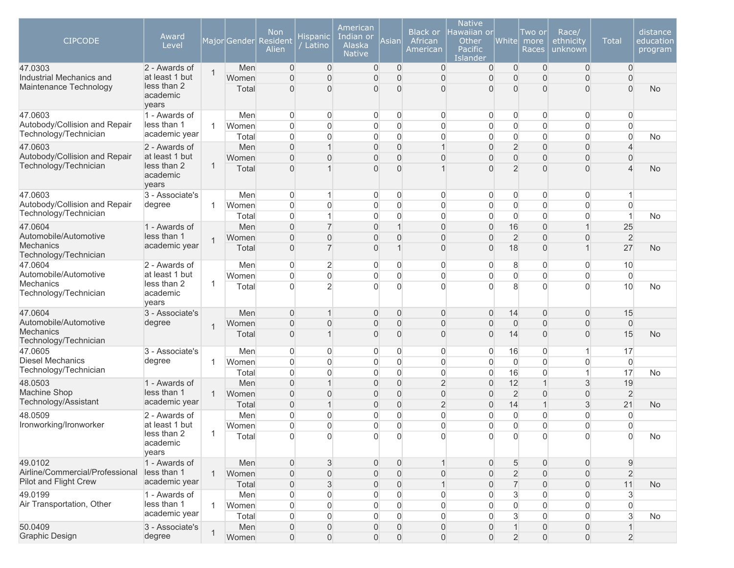| <b>CIPCODE</b><br>47.0303                        | Award<br>Level<br>2 - Awards of  |              | Major Gender<br>Men | <b>Non</b><br>Resident<br>Alien<br>0 | Hispanic<br>Latino<br>0 | American<br>Indian or<br>Alaska<br><b>Native</b><br>0 | Asian<br>$\overline{0}$ | <b>Black or</b><br>African<br>American<br>$\overline{0}$ | <b>Native</b><br>lawaiian or<br>Other<br><b>Pacific</b><br>Islander<br>0 | White<br>$\overline{0}$    | Two or<br>more<br>Races<br>$\mathbf 0$ | Race/<br>ethnicity<br>unknown<br>$\overline{0}$ | <b>Total</b><br>$\overline{0}$ | distance<br>education<br>program |
|--------------------------------------------------|----------------------------------|--------------|---------------------|--------------------------------------|-------------------------|-------------------------------------------------------|-------------------------|----------------------------------------------------------|--------------------------------------------------------------------------|----------------------------|----------------------------------------|-------------------------------------------------|--------------------------------|----------------------------------|
| Industrial Mechanics and                         | at least 1 but                   | $\mathbf{1}$ |                     | $\overline{0}$                       | $\overline{0}$          |                                                       | $\overline{0}$          |                                                          |                                                                          |                            |                                        |                                                 | $\overline{0}$                 |                                  |
| Maintenance Technology                           | less than 2<br>academic<br>years |              | Women<br>Total      | 0                                    | $\overline{0}$          | 0<br>$\overline{0}$                                   | $\overline{0}$          | $\mathbf 0$<br>$\overline{0}$                            | $\mathbf 0$<br>$\mathbf{0}$                                              | $\overline{0}$<br>$\Omega$ | $\mathbf 0$<br>$\mathbf{0}$            | $\boldsymbol{0}$<br>$\overline{0}$              | $\Omega$                       | <b>No</b>                        |
| 47.0603                                          | 1 - Awards of                    |              | Men                 | 0                                    | 0                       | $\mathbf 0$                                           | 0                       | 0                                                        | 0                                                                        | 0                          | 0                                      | $\overline{0}$                                  | $\overline{0}$                 |                                  |
| Autobody/Collision and Repair                    | less than 1                      | $\mathbf{1}$ | Women               | 0                                    | 0                       | 0                                                     | $\boldsymbol{0}$        | 0                                                        | $\boldsymbol{0}$                                                         | $\overline{0}$             | $\mathbf 0$                            | $\mathbf 0$                                     | 0                              |                                  |
| Technology/Technician                            | academic year                    |              | Total               | 0                                    | 0                       | 0                                                     | $\overline{0}$          | $\overline{0}$                                           | $\boldsymbol{0}$                                                         | $\overline{0}$             | $\mathbf 0$                            | $\overline{0}$                                  | $\overline{0}$                 | No.                              |
| 47.0603                                          | 2 - Awards of                    |              | Men                 | $\overline{0}$                       | 1                       | 0                                                     | $\mathbf 0$             | $\mathbf{1}$                                             | $\mathbf 0$                                                              | $\overline{2}$             | $\mathbf 0$                            | $\mathbf 0$                                     | 4                              |                                  |
| Autobody/Collision and Repair                    | at least 1 but                   |              | Women               | $\overline{0}$                       | $\overline{0}$          | 0                                                     | $\overline{0}$          | $\overline{0}$                                           | $\Omega$                                                                 | 0                          | $\mathbf 0$                            | 0                                               | $\overline{0}$                 |                                  |
| Technology/Technician                            | less than 2<br>academic<br>years | $\mathbf{1}$ | Total               | $\overline{0}$                       | 1                       | $\overline{0}$                                        | $\Omega$                | $\overline{1}$                                           | $\Omega$                                                                 | $\overline{2}$             | $\mathbf{0}$                           | 0                                               |                                | <b>No</b>                        |
| 47.0603                                          | 3 - Associate's                  |              | Men                 | 0                                    | 1                       | $\mathbf 0$                                           | $\overline{0}$          | $\overline{0}$                                           | 0                                                                        | $\overline{0}$             | $\overline{0}$                         | $\overline{0}$                                  | 1                              |                                  |
| Autobody/Collision and Repair                    | degree                           | 1            | Women               | 0                                    | 0                       | 0                                                     | $\mathbf 0$             | 0                                                        | $\boldsymbol{0}$                                                         | $\mathsf{O}\xspace$        | $\mathbf 0$                            | $\overline{0}$                                  | $\overline{0}$                 |                                  |
| Technology/Technician                            |                                  |              | Total               | $\overline{0}$                       | 1                       | 0                                                     | $\Omega$                | $\overline{0}$                                           | $\Omega$                                                                 | $\boldsymbol{0}$           | $\mathbf 0$                            | $\overline{0}$                                  | $\mathbf{1}$                   | No                               |
| 47.0604                                          | 1 - Awards of                    |              | Men                 | 0                                    | $\overline{7}$          | 0                                                     | $\mathbf{1}$            | $\overline{0}$                                           | $\overline{0}$                                                           | 16                         | $\overline{0}$                         | $\mathbf{1}$                                    | 25                             |                                  |
| Automobile/Automotive                            | less than 1                      | $\mathbf{1}$ | Women               | $\overline{0}$                       | $\overline{0}$          | 0                                                     | $\overline{0}$          | $\mathbf 0$                                              | $\overline{0}$                                                           | $\overline{2}$             | $\overline{0}$                         | 0                                               | $\overline{2}$                 |                                  |
| Mechanics<br>Technology/Technician               | academic year                    |              | Total               | $\overline{0}$                       | $\overline{7}$          | $\overline{0}$                                        | $\overline{1}$          | $\mathbf 0$                                              | $\overline{0}$                                                           | 18                         | $\overline{0}$                         | $\overline{1}$                                  | 27                             | <b>No</b>                        |
| 47.0604                                          | 2 - Awards of                    |              | Men                 | 0                                    | 2                       | 0                                                     | $\mathbf 0$             | $\overline{0}$                                           | 0                                                                        | 8                          | 0                                      | $\overline{0}$                                  | 10                             |                                  |
| Automobile/Automotive<br>Mechanics               | at least 1 but<br>less than 2    | 1            | Women               | $\overline{0}$                       | 0                       | $\mathsf{O}\xspace$                                   | $\overline{0}$          | $\overline{0}$                                           | $\boldsymbol{0}$                                                         | $\overline{0}$             | $\mathbf 0$                            | $\mathbf 0$                                     | $\overline{0}$                 |                                  |
| Technology/Technician                            | academic<br>years                |              | Total               | $\overline{0}$                       | $\overline{2}$          | $\overline{0}$                                        | $\Omega$                | $\Omega$                                                 | $\overline{0}$                                                           | 8                          | $\mathbf{0}$                           | 0                                               | 10                             | No                               |
| 47.0604                                          | 3 - Associate's                  |              | Men                 | 0                                    | 1                       | 0                                                     | $\overline{0}$          | $\mathbf{0}$                                             | $\mathbf 0$                                                              | 14                         | $\mathbf 0$                            | $\mathbf 0$                                     | 15                             |                                  |
| Automobile/Automotive                            | degree                           | $\mathbf 1$  | Women               | $\overline{0}$                       | $\Omega$                | 0                                                     | $\overline{0}$          | $\mathbf 0$                                              | $\overline{0}$                                                           | $\mathbf 0$                | $\mathbf 0$                            | $\mathbf 0$                                     | $\boldsymbol{0}$               |                                  |
| <b>Mechanics</b><br>Technology/Technician        |                                  |              | Total               | 0                                    |                         | 0                                                     | $\overline{0}$          | $\mathbf 0$                                              | $\mathbf{0}$                                                             | 14                         | $\mathbf{0}$                           | $\mathbf 0$                                     | 15                             | <b>No</b>                        |
| 47.0605                                          | 3 - Associate's                  |              | Men                 | 0                                    | 0                       | 0                                                     | 0                       | 0                                                        | 0                                                                        | 16                         | 0                                      | 1                                               | 17                             |                                  |
| <b>Diesel Mechanics</b><br>Technology/Technician | degree                           | 1            | Women               | $\overline{0}$                       | 0                       | 0                                                     | $\overline{0}$          | 0                                                        | $\mathbf{0}$                                                             | $\overline{0}$             | 0                                      | 0                                               | $\overline{0}$                 |                                  |
|                                                  |                                  |              | Total               | $\overline{0}$                       | 0                       | 0                                                     | 0                       | 0                                                        | 0                                                                        | 16                         | $\mathbf 0$                            | $\mathbf{1}$                                    | 17                             | No                               |
| 48.0503                                          | 1 - Awards of                    |              | Men                 | $\overline{0}$                       | 1                       | 0                                                     | $\overline{0}$          | $\overline{2}$                                           | $\mathbf{0}$                                                             | 12                         | $\mathbf 1$                            | 3                                               | 19                             |                                  |
| Machine Shop<br>Technology/Assistant             | less than 1<br>academic year     | $\mathbf{1}$ | Women               | $\overline{0}$                       | $\overline{0}$          | $\overline{0}$                                        | $\overline{0}$          | $\overline{0}$                                           | $\overline{0}$                                                           | $\overline{2}$             | $\overline{0}$                         | $\overline{0}$                                  | $\overline{2}$                 |                                  |
|                                                  |                                  |              | Total               | 0                                    | $\overline{1}$          | 0                                                     | $\overline{0}$          | $\overline{2}$                                           | $\mathbf{0}$                                                             | 14                         | $\overline{1}$                         | 3                                               | 21                             | <b>No</b>                        |
| 48.0509                                          | 2 - Awards of<br>at least 1 but  |              | Men                 | 0                                    | 0                       | 0                                                     | $\boldsymbol{0}$        | $\boldsymbol{0}$                                         | $\boldsymbol{0}$                                                         | $\overline{0}$             | 0                                      | 0                                               | $\mathbf 0$                    |                                  |
| Ironworking/Ironworker                           | less than 2                      | $\mathbf{1}$ | Women               | 0                                    | 0                       | 0                                                     | $\overline{0}$          | $\overline{0}$                                           | $\mathbf{0}$                                                             | $\overline{0}$             | 0                                      | $\overline{0}$                                  | $\overline{0}$                 |                                  |
|                                                  | academic<br>years                |              | Total               | 0                                    | 0                       | 0                                                     |                         | $\Omega$                                                 | 0                                                                        |                            | 0                                      | 0                                               | 0                              | No                               |
| 49.0102                                          | 1 - Awards of                    |              | Men                 | $\overline{0}$                       | 3                       | $\mathbf 0$                                           | $\boldsymbol{0}$        | $\mathbf{1}$                                             | $\mathbf 0$                                                              | 5                          | $\mathbf 0$                            | $\mathbf 0$                                     | $\boldsymbol{9}$               |                                  |
| Airline/Commercial/Professional                  | less than 1                      | $\mathbf{1}$ | Women               | $\overline{0}$                       | 0                       | 0                                                     | $\overline{0}$          | $\boldsymbol{0}$                                         | $\mathbf{0}$                                                             | $\overline{c}$             | $\mathbf{0}$                           | $\mathbf 0$                                     | $\overline{2}$                 |                                  |
| Pilot and Flight Crew                            | academic year                    |              | Total               | 0                                    | 3                       | 0                                                     | $\overline{0}$          | $\mathbf{1}$                                             | $\overline{0}$                                                           | $\overline{7}$             | $\mathbf 0$                            | $\mathbf 0$                                     | 11                             | <b>No</b>                        |
| 49.0199                                          | 1 - Awards of                    |              | Men                 | 0                                    | 0                       | 0                                                     | $\mathbf 0$             | $\boldsymbol{0}$                                         | 0                                                                        | 3                          | $\mathbf 0$                            | $\overline{0}$                                  | 3                              |                                  |
| Air Transportation, Other                        | less than 1                      | $\mathbf{1}$ | Women               | $\Omega$                             | 0                       | 0                                                     | $\overline{0}$          | $\overline{0}$                                           | $\mathbf{0}$                                                             | $\overline{0}$             | $\Omega$                               | $\overline{0}$                                  | $\Omega$                       |                                  |
|                                                  | academic year                    |              | Total               | 0                                    | 0                       | 0                                                     | $\overline{0}$          | $\overline{0}$                                           | $\mathbf{0}$                                                             | $\mathbf{3}$               | $\Omega$                               | $\overline{0}$                                  | $\mathbf{3}$                   | No                               |
| 50.0409                                          | 3 - Associate's                  | 1            | Men                 | 0                                    | 0                       | 0                                                     | $\overline{0}$          | 0                                                        | $\mathbf 0$                                                              | $\mathbf{1}$               | $\mathbf 0$                            | $\mathbf 0$                                     |                                |                                  |
| <b>Graphic Design</b>                            | degree                           |              | Women               | $\boldsymbol{0}$                     | $\mathsf{O}\xspace$     | $\mathsf{O}\xspace$                                   | $\mathsf{O}\xspace$     | $\mathsf{O}\xspace$                                      | $\boldsymbol{0}$                                                         | $\overline{2}$             | $\mathsf{O}\xspace$                    | $\boldsymbol{0}$                                | $\overline{2}$                 |                                  |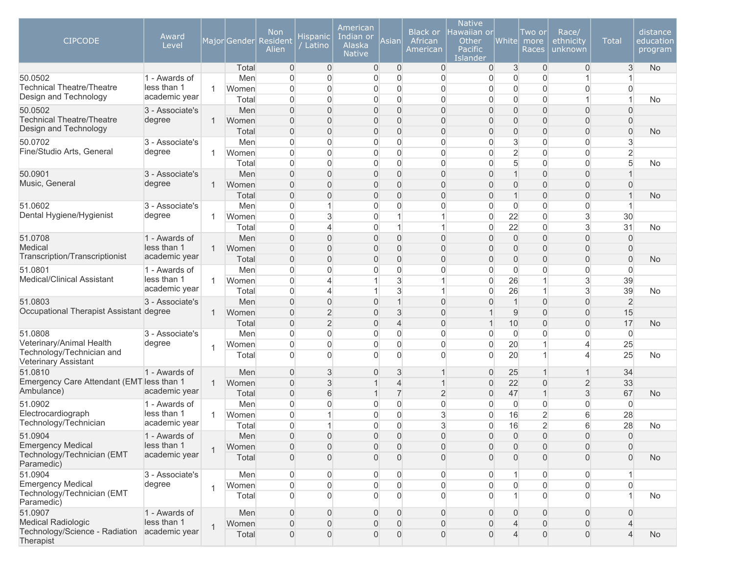| <b>CIPCODE</b>                                                       | Award<br>Level               |              | Major Gender   | Non<br>Resident<br>Alien | <u>Hispanic</u><br>Latino | American<br>Indian or<br>Alaska<br><b>Native</b> | Asian                              | Black or<br>African<br>American       | <b>Native</b><br>lawaiian or<br>Other<br><b>Pacific</b><br>Islander | White             | Two or<br>more<br>Races          | Race/<br>ethnicity<br>unknown    | <b>Total</b>   | distance<br>education<br>program |
|----------------------------------------------------------------------|------------------------------|--------------|----------------|--------------------------|---------------------------|--------------------------------------------------|------------------------------------|---------------------------------------|---------------------------------------------------------------------|-------------------|----------------------------------|----------------------------------|----------------|----------------------------------|
|                                                                      |                              |              | Total          | 0                        | $\overline{0}$            | $\mathbf 0$                                      | $\overline{0}$                     | $\overline{0}$                        | 0                                                                   | 3                 | $\overline{0}$                   | $\overline{0}$                   | 3              | <b>No</b>                        |
| 50.0502<br><b>Technical Theatre/Theatre</b>                          | 1 - Awards of<br>less than 1 |              | Men            | 0                        | 0                         | 0                                                | $\overline{0}$                     | $\mathbf{0}$                          | 0                                                                   | $\overline{0}$    | $\mathbf 0$                      | $\mathbf{1}$                     |                |                                  |
| Design and Technology                                                | academic year                | $\mathbf{1}$ | Women          | $\overline{0}$           | 0                         | 0                                                | $\overline{0}$                     | $\mathbf{0}$                          | $\overline{0}$                                                      | $\overline{0}$    | $\overline{0}$                   | $\boldsymbol{0}$                 | $\Omega$       |                                  |
|                                                                      |                              |              | Total          | $\Omega$                 | $\overline{0}$            | 0                                                | $\overline{0}$                     | $\mathbf{0}$                          | $\overline{0}$                                                      | $\overline{0}$    | $\overline{0}$                   | $\mathbf{1}$                     | 1              | No.                              |
| 50.0502<br><b>Technical Theatre/Theatre</b>                          | 3 - Associate's              |              | Men            | $\overline{0}$           | $\overline{0}$            | 0                                                | $\overline{0}$                     | $\overline{0}$                        | $\overline{0}$                                                      | $\overline{0}$    | $\overline{0}$                   | $\overline{0}$                   | $\Omega$       |                                  |
| Design and Technology                                                | degree                       | $\mathbf{1}$ | Women          | $\overline{0}$           | $\overline{0}$            | 0                                                | $\overline{0}$                     | $\overline{0}$                        | $\overline{0}$                                                      | $\mathbf{0}$      | $\overline{0}$                   | $\overline{0}$                   | $\overline{0}$ |                                  |
| 50.0702                                                              |                              |              | Total          | $\overline{0}$<br>0      | $\overline{0}$<br>0       | 0                                                | $\overline{0}$<br>$\boldsymbol{0}$ | $\overline{0}$<br>$\mathsf{O}\xspace$ | $\overline{0}$                                                      | 0<br>3            | $\overline{0}$<br>$\overline{0}$ | $\overline{0}$                   | $\overline{0}$ | <b>No</b>                        |
| Fine/Studio Arts, General                                            | 3 - Associate's<br>degree    |              | Men            | 0                        | $\overline{0}$            | 0<br>0                                           | $\overline{0}$                     | $\overline{0}$                        | 0                                                                   | $\overline{2}$    | $\overline{0}$                   | $\boldsymbol{0}$                 | 3              |                                  |
|                                                                      |                              | $\mathbf{1}$ | Women          |                          |                           |                                                  |                                    |                                       | 0                                                                   |                   |                                  | $\overline{0}$                   | $\overline{2}$ |                                  |
| 50.0901                                                              | 3 - Associate's              |              | Total<br>Men   | 0<br>$\overline{0}$      | 0<br>$\overline{0}$       | 0<br>0                                           | $\overline{0}$<br>$\overline{0}$   | $\overline{0}$<br>$\overline{0}$      | $\mathbf 0$<br>$\overline{0}$                                       | 5<br>$\mathbf{1}$ | $\overline{0}$<br>$\overline{0}$ | $\overline{0}$<br>$\overline{0}$ | 5              | No.                              |
| Music, General                                                       | degree                       | $\mathbf{1}$ | Women          | $\overline{0}$           | $\overline{0}$            | 0                                                | $\mathbf{0}$                       | $\overline{0}$                        | $\Omega$                                                            | 0                 | $\overline{0}$                   | $\boldsymbol{0}$                 | 0              |                                  |
|                                                                      |                              |              | Total          | 0                        | 0                         | 0                                                | $\overline{0}$                     | $\overline{0}$                        | $\overline{0}$                                                      | $\mathbf{1}$      | $\mathbf 0$                      | $\overline{0}$                   | $\mathbf 1$    | <b>No</b>                        |
| 51.0602                                                              | 3 - Associate's              |              | Men            | 0                        | 1                         | 0                                                | $\overline{0}$                     | $\overline{0}$                        | $\mathbf 0$                                                         | $\overline{0}$    | $\overline{0}$                   | $\boldsymbol{0}$                 | 1              |                                  |
| Dental Hygiene/Hygienist                                             | degree                       | $\mathbf{1}$ | Women          | $\overline{0}$           | 3                         | 0                                                | 1                                  | $\mathbf{1}$                          | $\mathbf 0$                                                         | 22                | 0                                | 3                                | 30             |                                  |
|                                                                      |                              |              | Total          | $\Omega$                 | ◢                         | 0                                                | 1                                  | $\mathbf{1}$                          | 0                                                                   | 22                | $\overline{0}$                   | 3                                | 31             | No.                              |
| 51.0708                                                              | 1 - Awards of                |              | Men            | $\overline{0}$           | $\overline{0}$            | 0                                                | $\overline{0}$                     | $\overline{0}$                        | $\overline{0}$                                                      | $\overline{0}$    | $\mathbf 0$                      | $\overline{0}$                   | $\overline{0}$ |                                  |
| Medical                                                              | less than 1                  | $\mathbf{1}$ | Women          | $\overline{0}$           | $\overline{0}$            | 0                                                | $\overline{0}$                     | $\overline{0}$                        | $\overline{0}$                                                      | $\overline{0}$    | $\Omega$                         | $\overline{0}$                   | $\overline{0}$ |                                  |
| Transcription/Transcriptionist                                       | academic year                |              | Total          | 0                        | $\overline{0}$            | 0                                                | $\overline{0}$                     | $\overline{0}$                        | $\overline{0}$                                                      | $\overline{0}$    | $\overline{0}$                   | $\overline{0}$                   | $\overline{0}$ | No                               |
| 51.0801                                                              | 1 - Awards of                |              | Men            | 0                        | 0                         | 0                                                | $\boldsymbol{0}$                   | $\boldsymbol{0}$                      | 0                                                                   | $\overline{0}$    | $\overline{0}$                   | $\boldsymbol{0}$                 | $\overline{0}$ |                                  |
| Medical/Clinical Assistant                                           | less than 1                  | $\mathbf{1}$ | Women          | 0                        | 4                         | 1                                                | 3                                  | $\mathbf{1}$                          | 0                                                                   | 26                | $\mathbf 1$                      | $\sqrt{3}$                       | 39             |                                  |
|                                                                      | academic year                |              | Total          | 0                        | 4                         | 1                                                | 3                                  | $\mathbf{1}$                          | 0                                                                   | 26                | $\mathbf{1}$                     | $\mathbf{3}$                     | 39             | No                               |
| 51.0803                                                              | 3 - Associate's              |              | Men            | $\overline{0}$           | $\overline{0}$            | 0                                                | $\mathbf{1}$                       | $\overline{0}$                        | $\overline{0}$                                                      | $\mathbf{1}$      | $\overline{0}$                   | $\boldsymbol{0}$                 | $\overline{2}$ |                                  |
| Occupational Therapist Assistant degree                              |                              | $\mathbf{1}$ | Women          | $\overline{0}$           | $\overline{2}$            | 0                                                | 3                                  | $\overline{0}$                        |                                                                     | 9                 | $\overline{0}$                   | $\overline{0}$                   | 15             |                                  |
|                                                                      |                              |              | Total          | $\overline{0}$           | $\overline{2}$            | 0                                                | $\overline{4}$                     | $\overline{0}$                        | 1                                                                   | 10                | $\mathbf 0$                      | $\boldsymbol{0}$                 | 17             | No                               |
| 51.0808                                                              | 3 - Associate's              |              | Men            | $\overline{0}$           | 0                         | 0                                                | $\overline{0}$                     | $\overline{0}$                        | $\overline{0}$                                                      | $\overline{0}$    | $\overline{0}$                   | $\mathbf 0$                      | $\overline{0}$ |                                  |
| Veterinary/Animal Health                                             | degree                       | $\mathbf{1}$ | Women          | $\overline{0}$           | $\overline{0}$            | 0                                                | $\overline{0}$                     | $\overline{0}$                        | $\overline{0}$                                                      | 20                | $\overline{1}$                   | $\overline{4}$                   | 25             |                                  |
| Technology/Technician and<br><b>Veterinary Assistant</b>             |                              |              | Total          | 0                        | 0                         | $\overline{0}$                                   | $\Omega$                           | $\overline{0}$                        | 0                                                                   | 20                | 1                                | 4                                | 25             | No                               |
| 51.0810                                                              | 1 - Awards of                |              | Men            | $\overline{0}$           | 3                         | 0                                                | 3                                  | $\mathbf{1}$                          | $\overline{0}$                                                      | 25                | $\mathbf 1$                      | $\mathbf 1$                      | 34             |                                  |
| Emergency Care Attendant (EMT less than 1                            |                              | $\mathbf{1}$ | Women          | $\overline{0}$           | 3                         | 1                                                | $\overline{4}$                     | $\mathbf{1}$                          | $\overline{0}$                                                      | 22                | $\mathbf 0$                      | $\overline{2}$                   | 33             |                                  |
| Ambulance)                                                           | academic year                |              | Total          | $\overline{0}$           | 6                         | 1                                                | $\overline{7}$                     | $\overline{2}$                        | $\overline{0}$                                                      | 47                | $\overline{1}$                   | 3                                | 67             | No.                              |
| 51.0902                                                              | 1 - Awards of                |              | Men            | 0                        | 0                         | 0                                                | $\overline{0}$                     | $\mathbf 0$                           | 0                                                                   | $\overline{0}$    | 0                                | $\overline{0}$                   | $\mathbf 0$    |                                  |
| Electrocardiograph                                                   | less than 1                  | $\mathbf{1}$ | Women          | $\Omega$                 |                           | 0                                                | $\overline{0}$                     | $\mathsf 3$                           | $\mathbf 0$                                                         | 16                | $\overline{2}$                   | 6                                | 28             |                                  |
| Technology/Technician                                                | academic year                |              | Total          | 0                        | 1                         | 0                                                | $\overline{0}$                     | $\mathsf 3$                           | $\overline{0}$                                                      | 16                | $\overline{2}$                   | 6                                | 28             | <b>No</b>                        |
| 51.0904                                                              | 1 - Awards of                |              | Men            | $\mathbf 0$              | $\boldsymbol{0}$          | $\mathsf{O}\xspace$                              | $\mathbf 0$                        | $\mathsf{O}\xspace$                   | $\boldsymbol{0}$                                                    | $\overline{0}$    | $\mathsf{O}\xspace$              | $\overline{0}$                   | $\overline{0}$ |                                  |
| <b>Emergency Medical</b>                                             | less than 1                  | $\mathbf{1}$ | Women          | 0                        | 0                         | 0                                                | $\mathbf 0$                        | $\mathbf 0$                           | 0                                                                   | $\overline{0}$    | $\boldsymbol{0}$                 | $\overline{0}$                   | $\overline{0}$ |                                  |
| Technology/Technician (EMT<br>Paramedic)                             | academic year                |              | Total          | $\overline{0}$           | 0                         | $\overline{0}$                                   | $\overline{0}$                     | $\overline{0}$                        | 0                                                                   | $\overline{0}$    | $\mathbf{0}$                     | $\overline{0}$                   | $\overline{0}$ | No                               |
| 51.0904                                                              | 3 - Associate's              |              | Men            | 0                        | 0                         | 0                                                | $\mathbf 0$                        | $\overline{0}$                        | 0                                                                   |                   | $\overline{0}$                   | $\overline{0}$                   |                |                                  |
| <b>Emergency Medical</b><br>Technology/Technician (EMT<br>Paramedic) | degree                       | $\mathbf{1}$ | Women<br>Total | $\overline{0}$<br>0      | 0<br>0                    | $\mathbf 0$<br>0                                 | $\overline{0}$<br>$\Omega$         | $\overline{0}$<br>$\overline{0}$      | $\Omega$<br>$\overline{0}$                                          | $\mathbf 0$       | $\Omega$<br>$\overline{0}$       | $\overline{0}$<br>$\overline{0}$ | $\overline{0}$ | No                               |
| 51.0907                                                              | 1 - Awards of                |              | Men            | $\overline{0}$           | 0                         | 0                                                | $\Omega$                           | $\overline{0}$                        | $\overline{0}$                                                      | $\overline{0}$    | $\mathbf{0}$                     | $\overline{0}$                   | $\overline{0}$ |                                  |
| <b>Medical Radiologic</b>                                            | less than 1                  |              | Women          | 0                        | 0                         | 0                                                | $\overline{0}$                     | $\overline{0}$                        | $\overline{0}$                                                      | $\overline{4}$    | $\mathbf 0$                      | $\overline{0}$                   | $\overline{4}$ |                                  |
| Technology/Science - Radiation<br>Therapist                          | academic year                | $\mathbf{1}$ | Total          | 0                        | 0                         | 0                                                | $\overline{0}$                     | $\overline{0}$                        | 0                                                                   | $\overline{4}$    | $\mathbf 0$                      | $\overline{0}$                   | $\overline{4}$ | No                               |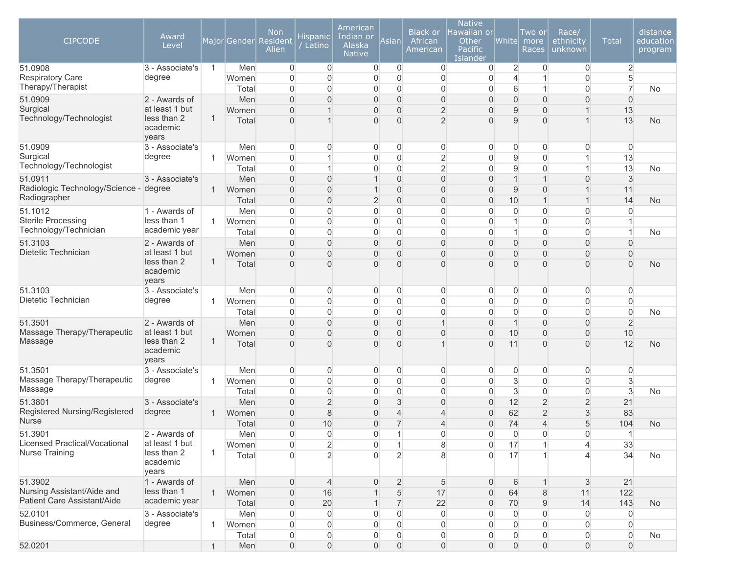| <b>CIPCODE</b>                                  | Award<br>Level                  |                |       | <b>Non</b><br>Major Gender Resident<br>Alien | <b>Hispanic</b><br>Latino | American<br>Indian or<br>Alaska<br><b>Native</b> | Asian                            | <b>Black or</b><br>African<br>American | <b>Native</b><br>Hawaiian or<br>Other<br>Pacific<br>Islander | White          | Two or<br>more<br>Races    | Race/<br>ethnicity<br>unknown | <b>Total</b>   | distance<br>education<br>program |
|-------------------------------------------------|---------------------------------|----------------|-------|----------------------------------------------|---------------------------|--------------------------------------------------|----------------------------------|----------------------------------------|--------------------------------------------------------------|----------------|----------------------------|-------------------------------|----------------|----------------------------------|
| 51.0908                                         | 3 - Associate's                 | $\overline{1}$ | Men   | $\Omega$                                     | $\overline{0}$            | $\overline{0}$                                   | 0                                | 0                                      | 0                                                            | $\overline{2}$ | 0                          | $\overline{0}$                | $\overline{2}$ |                                  |
| <b>Respiratory Care</b><br>Therapy/Therapist    | degree                          |                | Women | $\Omega$                                     | $\Omega$                  | $\boldsymbol{0}$                                 | $\overline{0}$                   | $\mathbf 0$                            | 0                                                            | $\overline{4}$ |                            | $\overline{0}$                | 5              |                                  |
|                                                 |                                 |                | Total | $\Omega$                                     | $\Omega$                  | $\overline{0}$                                   | $\overline{0}$                   | $\overline{0}$                         | 0                                                            | 6              | 1                          | $\overline{0}$                | 7              | <b>No</b>                        |
| 51.0909<br>Surgical                             | 2 - Awards of<br>at least 1 but |                | Men   | $\Omega$                                     | $\Omega$                  | $\overline{0}$                                   | $\overline{0}$                   | $\overline{0}$                         | $\overline{0}$                                               | $\overline{0}$ | $\overline{0}$             | $\overline{0}$                | $\overline{0}$ |                                  |
| Technology/Technologist                         | less than 2                     | 1              | Women | $\Omega$<br>U                                |                           | 0<br>$\overline{0}$                              | $\overline{0}$<br>$\overline{0}$ | $\overline{2}$<br>$\overline{2}$       | 0<br>0                                                       | 9<br>9         | $\overline{0}$<br>$\Omega$ |                               | 13<br>13       |                                  |
|                                                 | academic<br>years               |                | Total |                                              |                           |                                                  |                                  |                                        |                                                              |                |                            |                               |                | <b>No</b>                        |
| 51.0909                                         | 3 - Associate's                 |                | Men   | $\overline{0}$                               | 0                         | 0                                                | 0                                | 0                                      | 0                                                            | 0              | 0                          | $\overline{0}$                | $\overline{0}$ |                                  |
| Surgical                                        | degree                          | -1             | Women | $\Omega$                                     |                           | $\overline{0}$                                   | 0                                | $\overline{2}$                         | $\overline{0}$                                               | 9              | $\mathbf 0$                |                               | 13             |                                  |
| Technology/Technologist                         |                                 |                | Total | $\mathbf{0}$                                 |                           | $\boldsymbol{0}$                                 | $\mathbf 0$                      | $\overline{2}$                         | 0                                                            | $\mathsf g$    | $\mathbf 0$                | 1                             | 13             | No                               |
| 51.0911                                         | 3 - Associate's                 |                | Men   | $\Omega$                                     | $\Omega$                  |                                                  | $\Omega$                         | $\overline{0}$                         | 0                                                            | $\mathbf{1}$   | $\mathbf 1$                | $\overline{0}$                | 3              |                                  |
| Radiologic Technology/Science -                 | degree                          | $\mathbf{1}$   | Women | $\Omega$                                     | $\Omega$                  |                                                  | $\overline{0}$                   | $\overline{0}$                         | 0                                                            | $9\,$          | $\mathbf{0}$               |                               | 11             |                                  |
| Radiographer                                    |                                 |                | Total | $\overline{0}$                               | $\overline{0}$            | $\overline{2}$                                   | $\boldsymbol{0}$                 | $\mathbf 0$                            | $\boldsymbol{0}$                                             | 10             | $\mathbf{1}$               | $\overline{1}$                | 14             | <b>No</b>                        |
| 51.1012                                         | 1 - Awards of                   |                | Men   | $\Omega$                                     | $\overline{0}$            | $\boldsymbol{0}$                                 | $\overline{0}$                   | $\overline{0}$                         | 0                                                            | 0              | 0                          | $\overline{0}$                | $\Omega$       |                                  |
| <b>Sterile Processing</b>                       | less than 1                     | 1              | Women | $\Omega$                                     | $\Omega$                  | 0                                                | $\overline{0}$                   | $\overline{0}$                         | 0                                                            | $\mathbf{1}$   | $\overline{0}$             | $\overline{0}$                |                |                                  |
| Technology/Technician                           | academic year                   |                | Total | $\Omega$                                     | $\Omega$                  | $\overline{0}$                                   | 0                                | $\overline{0}$                         | 0                                                            | $\mathbf{1}$   | $\overline{0}$             | $\overline{0}$                | 1              | No                               |
| 51.3103                                         | 2 - Awards of                   |                | Men   | $\Omega$                                     | $\Omega$                  | $\mathbf{0}$                                     | $\overline{0}$                   | $\overline{0}$                         | 0                                                            | $\overline{0}$ | $\overline{0}$             | $\overline{0}$                | $\Omega$       |                                  |
| Dietetic Technician                             | at least 1 but<br>less than 2   | 1              | Women | $\Omega$                                     | $\overline{0}$            | $\mathbf 0$                                      | $\overline{0}$                   | $\overline{0}$                         | 0                                                            | $\mathbf{0}$   | $\mathbf{0}$               | $\mathbf{0}$                  | $\Omega$       |                                  |
|                                                 | academic<br>years               |                | Total | $\Omega$                                     | $\Omega$                  | $\overline{0}$                                   | $\Omega$                         | $\Omega$                               | 0                                                            | $\Omega$       | $\Omega$                   | $\Omega$                      | $\overline{0}$ | <b>No</b>                        |
| 51.3103                                         | 3 - Associate's                 |                | Men   | 0                                            | 0                         | $\overline{0}$                                   | 0                                | 0                                      | $\overline{0}$                                               | 0              | 0                          | $\mathbf 0$                   | 0              |                                  |
| Dietetic Technician                             | degree                          | -1             | Women | $\Omega$                                     | $\mathbf{0}$              | $\overline{0}$                                   | $\overline{0}$                   | $\mathbf 0$                            | 0                                                            | $\overline{0}$ | $\mathbf 0$                | $\overline{0}$                | $\overline{0}$ |                                  |
|                                                 |                                 |                | Total | $\mathbf{0}$                                 | $\Omega$                  | $\boldsymbol{0}$                                 | $\overline{0}$                   | $\mathbf 0$                            | $\overline{0}$                                               | $\overline{0}$ | $\boldsymbol{0}$           | 0                             | $\overline{0}$ | No                               |
| 51.3501                                         | 2 - Awards of                   |                | Men   | $\Omega$                                     | $\Omega$                  | $\boldsymbol{0}$                                 | 0                                |                                        | $\overline{0}$                                               | $\mathbf 1$    | $\boldsymbol{0}$           | $\overline{0}$                | $\overline{2}$ |                                  |
| Massage Therapy/Therapeutic                     | at least 1 but<br>less than 2   | 1              | Women | $\Omega$                                     | $\mathbf{0}$              | $\overline{0}$                                   | $\overline{0}$                   | $\overline{0}$                         | $\overline{0}$                                               | 10             | $\overline{0}$             | $\overline{0}$                | 10             |                                  |
| Massage                                         | academic<br>years               |                | Total | $\Omega$                                     | $\Omega$                  | $\overline{0}$                                   | $\Omega$                         |                                        | 0                                                            | 11             | $\Omega$                   | $\overline{0}$                | 12             | <b>No</b>                        |
| 51.3501                                         | 3 - Associate's                 |                | Men   | 0                                            | 0                         | $\overline{0}$                                   | 0                                | 0                                      | $\overline{0}$                                               | 0              | 0                          | $\mathbf 0$                   | 0              |                                  |
| Massage Therapy/Therapeutic                     | degree                          | -1             | Women | $\Omega$                                     | $\overline{0}$            | $\overline{0}$                                   | 0                                | 0                                      | 0                                                            | 3              | $\boldsymbol{0}$           | $\overline{0}$                | 3              |                                  |
| Massage                                         |                                 |                | Total | $\Omega$                                     | $\overline{0}$            | $\mathbf 0$                                      | 0                                | $\overline{0}$                         | $\overline{0}$                                               | 3              | $\boldsymbol{0}$           | $\overline{0}$                | 3              | <b>No</b>                        |
| 51.3801                                         | 3 - Associate's                 |                | Men   | $\Omega$                                     | $\overline{2}$            | $\mathbf 0$                                      | 3                                | $\overline{0}$                         | $\overline{0}$                                               | 12             | $\overline{2}$             | $\overline{2}$                | 21             |                                  |
| Registered Nursing/Registered                   | degree                          | $\mathbf{1}$   | Women | $\Omega$                                     | 8                         | 0                                                | 4                                | 4                                      | 0                                                            | 62             | $\overline{2}$             | $\sqrt{3}$                    | 83             |                                  |
| <b>Nurse</b>                                    |                                 |                | Total | $\Omega$                                     | 10                        | $\overline{0}$                                   | 7                                | 4                                      | 0                                                            | 74             | $\overline{4}$             | 5                             | 104            | <b>No</b>                        |
| 51.3901                                         | 2 - Awards of                   |                | Men   | $\cap$                                       | $\cap$                    | $\cap$<br>ັ                                      | 1                                | $\cap$                                 | U                                                            | $\cap$         | ∩                          | $\cap$                        | 1              |                                  |
| Licensed Practical/Vocational<br>Nurse Training | at least 1 but<br>less than 2   | -1             | Women | 0                                            | $\overline{2}$            | 0                                                | 1                                | 8                                      | $\overline{0}$                                               | 17             | $\mathbf{1}$               | 4                             | 33             |                                  |
|                                                 | academic<br>years               |                | Total | $\Omega$                                     | $\overline{2}$            | $\overline{0}$                                   | $\overline{2}$                   | 8                                      | $\Omega$                                                     | 17             |                            | 4                             | 34             | No                               |
| 51.3902                                         | 1 - Awards of                   |                | Men   | $\overline{0}$                               | $\overline{4}$            | $\mathbf 0$                                      | $\overline{c}$                   | 5                                      | $\mathbf 0$                                                  | 6              | 1                          | 3                             | 21             |                                  |
| Nursing Assistant/Aide and                      | less than 1                     | 1              | Women | $\overline{0}$                               | 16                        |                                                  | 5                                | 17                                     | $\mathbf 0$                                                  | 64             | 8                          | 11                            | 122            |                                  |
| Patient Care Assistant/Aide                     | academic year                   |                | Total | $\overline{0}$                               | 20                        |                                                  | $\overline{7}$                   | 22                                     | $\mathbf 0$                                                  | 70             | $\boldsymbol{9}$           | 14                            | 143            | No                               |
| 52.0101                                         | 3 - Associate's                 |                | Men   | 0                                            | $\mathbf 0$               | 0                                                | $\overline{0}$                   | 0                                      | 0                                                            | 0              | 0                          | $\mathbf 0$                   | $\overline{0}$ |                                  |
| Business/Commerce, General                      | degree                          | $\mathbf{1}$   | Women | $\Omega$                                     | 0                         | $\boldsymbol{0}$                                 | $\Omega$                         | $\overline{0}$                         | 0                                                            | 0              | $\Omega$                   | $\boldsymbol{0}$              | $\overline{0}$ |                                  |
|                                                 |                                 |                | Total | 0                                            | 0                         | $\boldsymbol{0}$                                 | 0                                | 0                                      | 0                                                            | 0              | $\boldsymbol{0}$           | $\mathbf 0$                   | $\overline{0}$ | No                               |
| 52.0201                                         |                                 | $\mathbf{1}$   | Men   | $\overline{0}$                               | $\boldsymbol{0}$          | $\overline{0}$                                   | $\boldsymbol{0}$                 | $\boldsymbol{0}$                       | $\overline{0}$                                               | $\overline{0}$ | $\boldsymbol{0}$           | $\overline{0}$                | $\mathbf 0$    |                                  |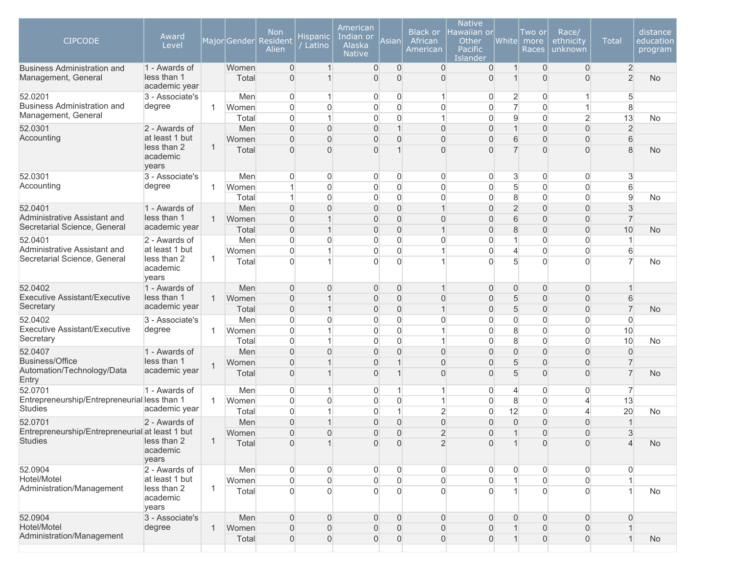| <b>CIPCODE</b>                                            | Award<br>Level                                |              | Major Gender   | <b>Non</b><br>Resident<br>Alien  | Hispanic<br>' Latino | American<br>Indian or<br>Alaska<br><b>Native</b> | Asianl                           | <b>Black or</b><br>African<br>American | <b>Native</b><br>Hawaiian or<br>Other<br><b>Pacific</b><br>Islander | White               | Two or<br>more<br>Races        | Race/<br>ethnicity<br>unknown      | <b>Total</b>                     | distance<br>education<br>program |
|-----------------------------------------------------------|-----------------------------------------------|--------------|----------------|----------------------------------|----------------------|--------------------------------------------------|----------------------------------|----------------------------------------|---------------------------------------------------------------------|---------------------|--------------------------------|------------------------------------|----------------------------------|----------------------------------|
| <b>Business Administration and</b><br>Management, General | 1 - Awards of<br>less than 1<br>academic year |              | Women<br>Total | $\overline{0}$<br>$\overline{0}$ |                      | $\boldsymbol{0}$<br>$\overline{0}$               | $\overline{0}$<br>$\overline{0}$ | $\overline{0}$<br>$\overline{0}$       | $\mathbf{0}$<br>$\mathbf{0}$                                        | $\mathbf{1}$        | $\overline{0}$<br>$\mathbf{0}$ | $\mathbf{0}$<br>$\overline{0}$     | $\overline{2}$<br>$\overline{2}$ | No                               |
| 52.0201                                                   | 3 - Associate's                               |              | Men            | $\boldsymbol{0}$                 |                      | 0                                                | $\overline{0}$                   | $\mathbf{1}$                           | $\overline{0}$                                                      | $\overline{2}$      | $\overline{0}$                 | $\mathbf{1}$                       | 5                                |                                  |
| <b>Business Administration and</b>                        | degree                                        | $\mathbf{1}$ | Women          | $\mathbf 0$                      | 0                    | $\mathsf{O}\xspace$                              | $\mathbf 0$                      | $\mathbf 0$                            | $\mathsf{O}\xspace$                                                 | $\overline{7}$      | $\mathbf 0$                    | $\mathbf{1}$                       | 8                                |                                  |
| Management, General                                       |                                               |              | Total          | $\overline{0}$                   |                      | $\overline{0}$                                   | $\mathbf 0$                      | $\mathbf{1}$                           | $\mathbf 0$                                                         | 9                   | $\mathbf 0$                    | $\overline{2}$                     | 13                               | <b>No</b>                        |
| 52.0301<br>Accounting                                     | 2 - Awards of<br>at least 1 but               |              | Men            | $\Omega$                         | $\overline{0}$       | $\overline{0}$                                   | $\overline{1}$                   | $\overline{0}$                         | $\overline{0}$                                                      | $\mathbf{1}$        | $\overline{0}$                 | $\boldsymbol{0}$                   | $\overline{2}$                   |                                  |
|                                                           | less than 2                                   | $\mathbf{1}$ | Women          | $\overline{0}$                   | $\Omega$             | $\mathbf 0$                                      | $\overline{0}$                   | $\mathbf 0$                            | $\overline{0}$                                                      | 6<br>$\overline{7}$ | $\mathbf 0$                    | $\overline{0}$                     | 6                                |                                  |
|                                                           | academic<br>years                             |              | Total          | $\overline{0}$                   | $\Omega$             | $\overline{0}$                                   |                                  | $\Omega$                               | $\Omega$                                                            |                     | $\mathbf{0}$                   | $\overline{0}$                     | 8                                | No                               |
| 52.0301                                                   | 3 - Associate's                               |              | Men            | 0                                | 0                    | $\boldsymbol{0}$                                 | $\mathbf 0$                      | 0                                      | 0                                                                   | 3                   | 0                              | $\overline{0}$                     | 3                                |                                  |
| Accounting                                                | degree                                        | $\mathbf{1}$ | Women          | 1                                | $\overline{0}$       | $\boldsymbol{0}$                                 | $\overline{0}$                   | $\overline{0}$                         | $\mathsf{O}\xspace$                                                 | 5                   | $\mathbf 0$                    | $\boldsymbol{0}$                   | 6                                |                                  |
|                                                           |                                               |              | Total          | $\mathbf{1}$                     | $\overline{0}$       | $\boldsymbol{0}$                                 | $\overline{0}$                   | $\boldsymbol{0}$                       | $\mathsf{O}\xspace$                                                 | 8                   | $\mathbf 0$                    | $\overline{0}$                     | $\boldsymbol{9}$                 | <b>No</b>                        |
| 52.0401<br>Administrative Assistant and                   | 1 - Awards of<br>less than 1                  |              | Men            | $\overline{0}$                   | $\overline{0}$       | $\boldsymbol{0}$                                 | $\overline{0}$                   | $\mathbf{1}$                           | $\mathbf 0$                                                         | $\overline{2}$      | $\mathbf 0$                    | $\boldsymbol{0}$                   | 3                                |                                  |
| Secretarial Science, General                              | academic year                                 | $\mathbf{1}$ | Women          | $\overline{0}$<br>$\mathbf 0$    |                      | $\boldsymbol{0}$                                 | $\mathbf 0$                      | $\mathbf 0$<br>$\mathbf{1}$            | $\mathbf 0$                                                         | 6                   | $\mathbf 0$                    | $\boldsymbol{0}$                   | $\overline{7}$<br>10             |                                  |
| 52.0401                                                   | 2 - Awards of                                 |              | Total<br>Men   | $\overline{0}$                   | $\Omega$             | $\mathbf 0$<br>$\overline{0}$                    | $\mathbf 0$<br>$\mathbf 0$       | $\Omega$                               | $\mathbf 0$<br>$\overline{0}$                                       | 8<br>$\mathbf 1$    | $\mathbf 0$<br>$\mathbf 0$     | $\boldsymbol{0}$<br>$\overline{0}$ | 1                                | <b>No</b>                        |
| Administrative Assistant and                              | at least 1 but                                |              | Women          | $\mathbf 0$                      |                      | $\boldsymbol{0}$                                 | $\Omega$                         | $\mathbf 1$                            | $\boldsymbol{0}$                                                    | $\overline{4}$      | $\mathbf 0$                    | $\boldsymbol{0}$                   | 6                                |                                  |
| Secretarial Science, General                              | less than 2<br>academic<br>years              | $\mathbf{1}$ | Total          | $\overline{0}$                   |                      | 0                                                | $\Omega$                         |                                        | $\Omega$                                                            | 5                   | $\Omega$                       | $\Omega$                           | $\overline{7}$                   | No                               |
| 52.0402                                                   | 1 - Awards of                                 |              | Men            | $\overline{0}$                   | $\Omega$             | $\mathbf 0$                                      | $\mathbf 0$                      | $\mathbf 1$                            | $\mathbf 0$                                                         | $\overline{0}$      | $\mathbf 0$                    | $\overline{0}$                     |                                  |                                  |
| <b>Executive Assistant/Executive</b>                      | less than 1                                   | $\mathbf{1}$ | Women          | $\overline{0}$                   |                      | $\overline{0}$                                   | $\overline{0}$                   | $\overline{0}$                         | $\overline{0}$                                                      | 5                   | $\overline{0}$                 | $\overline{0}$                     | 6                                |                                  |
| Secretary                                                 | academic year                                 |              | Total          | $\overline{0}$                   |                      | $\boldsymbol{0}$                                 | $\overline{0}$                   | $\mathbf{1}$                           | $\mathbf 0$                                                         | 5                   | $\overline{0}$                 | $\overline{0}$                     | $\overline{7}$                   | <b>No</b>                        |
| 52.0402                                                   | 3 - Associate's                               |              | Men            | $\boldsymbol{0}$                 | $\overline{0}$       | $\boldsymbol{0}$                                 | $\overline{0}$                   | $\overline{0}$                         | $\mathsf{O}\xspace$                                                 | $\overline{0}$      | $\mathbf 0$                    | $\overline{0}$                     | $\overline{0}$                   |                                  |
| Executive Assistant/Executive                             | degree                                        | 1            | Women          | $\mathbf 0$                      |                      | $\boldsymbol{0}$                                 | $\overline{0}$                   | 1                                      | $\boldsymbol{0}$                                                    | 8                   | $\mathbf 0$                    | $\boldsymbol{0}$                   | 10                               |                                  |
| Secretary                                                 |                                               |              | Total          | $\mathbf 0$                      |                      | $\boldsymbol{0}$                                 | $\mathbf 0$                      | 1                                      | $\boldsymbol{0}$                                                    | 8                   | $\mathbf 0$                    | $\boldsymbol{0}$                   | 10                               | No                               |
| 52.0407<br><b>Business/Office</b>                         | 1 - Awards of<br>less than 1                  |              | Men            | $\overline{0}$                   | $\Omega$             | $\overline{0}$                                   | $\Omega$                         | $\mathbf 0$                            | $\overline{0}$                                                      | 0                   | $\overline{0}$                 | $\boldsymbol{0}$                   | $\overline{0}$                   |                                  |
| Automation/Technology/Data                                | academic year                                 | $\mathbf{1}$ | Women          | $\Omega$                         |                      | $\overline{0}$                                   |                                  | $\overline{0}$                         | $\overline{0}$                                                      | 5                   | $\overline{0}$                 | $\boldsymbol{0}$                   | $\overline{7}$                   |                                  |
| Entry                                                     |                                               |              | Total          | $\overline{0}$                   |                      | $\boldsymbol{0}$                                 |                                  | $\overline{0}$                         | 0                                                                   | 5                   | $\mathbf{0}$                   | $\overline{0}$                     | $\overline{7}$                   | No                               |
| 52.0701                                                   | 1 - Awards of                                 |              | Men            | $\overline{0}$                   |                      | $\mathbf 0$                                      |                                  | $\overline{1}$                         | 0                                                                   | 4                   | $\mathbf 0$                    | $\boldsymbol{0}$                   | 7                                |                                  |
| Entrepreneurship/Entrepreneurial less than 1              |                                               | $\mathbf{1}$ | Women          | $\overline{0}$                   | $\Omega$             | $\boldsymbol{0}$                                 | $\mathbf 0$                      | 1                                      | $\overline{0}$                                                      | 8                   | $\mathbf 0$                    | $\overline{4}$                     | 13                               |                                  |
| <b>Studies</b>                                            | academic year                                 |              | Total          | $\overline{0}$                   |                      | $\overline{0}$                                   | 1                                | $\overline{2}$                         | $\overline{0}$                                                      | 12                  | $\mathbf 0$                    | 4                                  | 20                               | <b>No</b>                        |
| 52.0701                                                   | 2 - Awards of                                 |              | Men            | $\overline{0}$                   |                      | $\overline{0}$                                   | $\overline{0}$                   | $\overline{0}$                         | $\overline{0}$                                                      | $\Omega$            | $\mathbf{0}$                   | $\overline{0}$                     | 1                                |                                  |
| Entrepreneurship/Entrepreneurial at least 1 but           |                                               |              | Women          | $\Omega$                         | $\Omega$             | $\Omega$                                         | $\Omega$                         | $\overline{2}$                         | $\Omega$                                                            |                     | $\Omega$                       | $\Omega$                           | 3                                |                                  |
| <b>Studies</b>                                            | less than 2<br>academic<br>years              | $\mathbf 1$  | Total          | $\mathbf{0}$                     |                      | $\Omega$                                         | $\overline{0}$                   | $\overline{2}$                         | $\Omega$                                                            |                     | $\Omega$                       | $\overline{0}$                     | $\Delta$                         | No                               |
| 52.0904                                                   | 2 - Awards of                                 |              | Men            | $\mathsf{O}\xspace$              | 0                    | 0                                                | $\overline{0}$                   | $\overline{0}$                         | $\overline{0}$                                                      | 0                   | $\mathbf 0$                    | $\overline{0}$                     | $\overline{0}$                   |                                  |
| Hotel/Motel                                               | at least 1 but                                |              | Women          | $\mathbf 0$                      | $\mathbf 0$          | $\mathsf{O}\xspace$                              | $\mathsf{O}\xspace$              | $\overline{0}$                         | $\overline{0}$                                                      |                     | $\overline{0}$                 | $\overline{0}$                     |                                  |                                  |
| Administration/Management                                 | less than 2<br>academic<br>years              | $\mathbf{1}$ | Total          | $\overline{0}$                   | $\Omega$             | 0                                                | $\Omega$                         | $\overline{0}$                         | $\overline{0}$                                                      |                     | $\Omega$                       | $\overline{0}$                     |                                  | No                               |
| 52.0904                                                   | 3 - Associate's                               |              | Men            | $\overline{0}$                   | $\overline{0}$       | $\mathbf 0$                                      | $\overline{0}$                   | $\boldsymbol{0}$                       | $\overline{0}$                                                      | $\overline{0}$      | $\mathbf 0$                    | $\overline{0}$                     | $\overline{0}$                   |                                  |
| Hotel/Motel                                               | degree                                        | $\mathbf{1}$ | Women          | $\overline{0}$                   | $\overline{0}$       | $\boldsymbol{0}$                                 | $\overline{0}$                   | $\boldsymbol{0}$                       | $\overline{0}$                                                      | $\overline{1}$      | $\overline{0}$                 | $\overline{0}$                     |                                  |                                  |
| Administration/Management                                 |                                               |              | Total          | $\boldsymbol{0}$                 | 0                    | $\boldsymbol{0}$                                 | $\mathbf 0$                      | $\mathsf{O}\xspace$                    | $\overline{0}$                                                      | $\mathbf{1}$        | $\mathbf 0$                    | $\overline{0}$                     | $\mathbf{1}$                     | <b>No</b>                        |
|                                                           |                                               |              |                |                                  |                      |                                                  |                                  |                                        |                                                                     |                     |                                |                                    |                                  |                                  |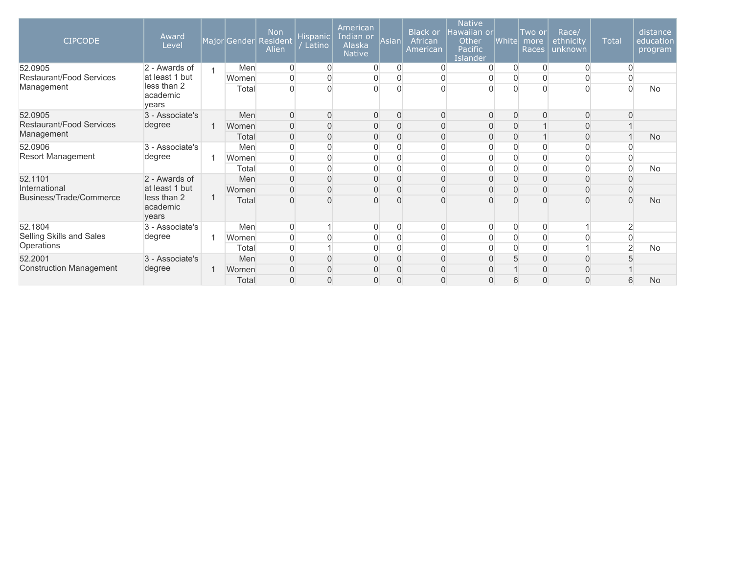| <b>CIPCODE</b>                 | Award<br>Level                   | MajorGender | <b>Non</b><br>Resident<br>Alien | ${\sf Hispanic} $<br>Latino | American<br>Indian or<br>Alaska<br><b>Native</b> | Asian          | Black or<br>African<br>American | <b>Native</b><br>Hawaiian or<br>Other<br>Pacific<br>Islander | White          | Two or<br>more<br>Races | Race/<br>ethnicity<br>unknown | <b>Total</b>   | distance<br>education<br>program |
|--------------------------------|----------------------------------|-------------|---------------------------------|-----------------------------|--------------------------------------------------|----------------|---------------------------------|--------------------------------------------------------------|----------------|-------------------------|-------------------------------|----------------|----------------------------------|
| 52.0905                        | 2 - Awards of                    | Men         | 0                               | $\overline{0}$              | 0                                                | $\overline{0}$ | $\overline{0}$                  | $\overline{0}$                                               | $\overline{0}$ | $\overline{0}$          | 0                             |                |                                  |
| Restaurant/Food Services       | at least 1 but                   | Women       | 0                               | 0                           | 0                                                | $\overline{0}$ | $\boldsymbol{0}$                | 0                                                            | $\overline{0}$ | 0                       | 0                             |                |                                  |
| Management                     | less than 2<br>academic<br>vears | Total       |                                 | $\Omega$                    | $\overline{0}$                                   | $\Omega$       | $\Omega$                        | $\Omega$                                                     |                | $\Omega$                | $\Omega$                      |                | <b>No</b>                        |
| 52.0905                        | 3 - Associate's                  | Men         | $\Omega$                        | $\Omega$                    | $\overline{0}$                                   | $\Omega$       | $\Omega$                        | $\overline{0}$                                               | $\Omega$       | $\overline{0}$          | $\overline{0}$                |                |                                  |
| Restaurant/Food Services       | degree                           | Women       | 0                               | $\Omega$                    | 0                                                | $\Omega$       | $\overline{0}$                  | $\overline{0}$                                               | $\overline{0}$ |                         | 0                             |                |                                  |
| Management                     |                                  | Total       | 0                               | $\Omega$                    | 0                                                | $\Omega$       | $\overline{0}$                  | $\overline{0}$                                               | $\overline{0}$ |                         | 0                             |                | <b>No</b>                        |
| 52.0906                        | 3 - Associate's                  | Men         |                                 | $\Omega$                    | 0                                                | $\Omega$       | $\overline{0}$                  | 0                                                            | $\overline{0}$ | 0                       | 0                             |                |                                  |
| <b>Resort Management</b>       | degree                           | Women       |                                 |                             | 0                                                | $\Omega$       | $\Omega$                        | 0                                                            | $\Omega$       | 0                       |                               |                |                                  |
|                                |                                  | Total       |                                 | $\Omega$                    | $\overline{0}$                                   |                | $\Omega$                        | $\overline{0}$                                               | $\Omega$       | $\Omega$                | 0                             |                | No                               |
| 52.1101                        | 2 - Awards of                    | Men         | $\Omega$                        | $\Omega$                    | $\overline{0}$                                   | $\Omega$       | $\mathbf 0$                     | $\overline{0}$                                               | $\overline{0}$ | $\mathbf 0$             | $\overline{0}$                |                |                                  |
| International                  | at least 1 but                   | Women       | $\Omega$                        |                             | 0                                                | $\Omega$       | $\mathbf{0}$                    | $\Omega$                                                     | $\overline{0}$ | $\mathbf{0}$            | 0                             |                |                                  |
| Business/Trade/Commerce        | less than 2<br>academic<br>years | Total       |                                 |                             | $\Omega$                                         |                |                                 | $\Omega$                                                     |                |                         | $\Omega$                      |                | <b>No</b>                        |
| 52.1804                        | 3 - Associate's                  | Men         | $\overline{0}$                  |                             | $\overline{0}$                                   | $\Omega$       | $\overline{0}$                  | $\overline{0}$                                               | $\overline{0}$ | $\mathbf 0$             |                               | $\overline{2}$ |                                  |
| Selling Skills and Sales       | degree                           | Women       | 0                               |                             | 0                                                | $\Omega$       | $\overline{0}$                  | 0                                                            | $\overline{0}$ | 0                       |                               |                |                                  |
| Operations                     |                                  | Total       | $\Omega$                        |                             | $\overline{0}$                                   |                | $\overline{0}$                  | 0                                                            | $\overline{0}$ | 0                       |                               | 2              | <b>No</b>                        |
| 52.2001                        | 3 - Associate's                  | Men         | $\Omega$                        | $\Omega$                    | 0                                                | $\overline{0}$ | $\overline{0}$                  | $\overline{0}$                                               | 5              | $\overline{0}$          | $\overline{0}$                |                |                                  |
| <b>Construction Management</b> | degree                           | Women       | $\overline{0}$                  | $\Omega$                    | 0                                                | $\overline{0}$ | $\mathbf{0}$                    | $\Omega$                                                     |                | $\mathbf 0$             | $\Omega$                      |                |                                  |
|                                |                                  | Total       | $\overline{0}$                  | $\Omega$                    | 0                                                | $\Omega$       | $\Omega$                        | $\Omega$                                                     | 6              | $\mathbf{0}$            | $\Omega$                      | 6              | <b>No</b>                        |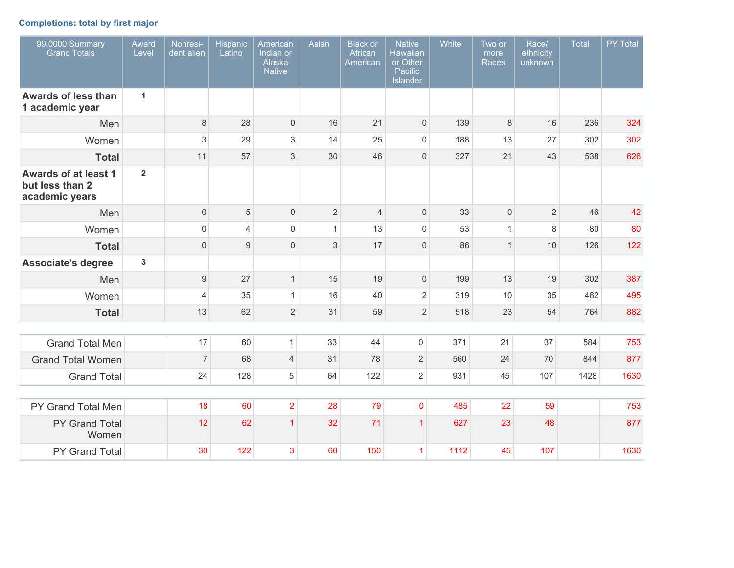# **Completions: total by first major**

| 99.0000 Summary<br><b>Grand Totals</b>                           | Award<br>Level          | Nonresi-<br>dent alien | <b>Hispanic</b><br>Latino | American<br>Indian or<br>Alaska<br><b>Native</b> | Asian          | <b>Black or</b><br>African<br>American | <b>Native</b><br><b>Hawaiian</b><br>or Other<br>Pacific<br><b>Islander</b> | White | Two or<br>more<br><b>Races</b> | Race/<br>ethnicity<br>unknown | <b>Total</b> | PY Total |
|------------------------------------------------------------------|-------------------------|------------------------|---------------------------|--------------------------------------------------|----------------|----------------------------------------|----------------------------------------------------------------------------|-------|--------------------------------|-------------------------------|--------------|----------|
| Awards of less than<br>1 academic year                           | $\mathbf{1}$            |                        |                           |                                                  |                |                                        |                                                                            |       |                                |                               |              |          |
| Men                                                              |                         | $\,8\,$                | 28                        | $\mathsf{O}\xspace$                              | 16             | 21                                     | $\mathbf 0$                                                                | 139   | $\,8\,$                        | 16                            | 236          | 324      |
| Women                                                            |                         | 3                      | 29                        | 3                                                | 14             | 25                                     | $\mathsf{O}\xspace$                                                        | 188   | 13                             | 27                            | 302          | 302      |
| <b>Total</b>                                                     |                         | 11                     | 57                        | 3                                                | 30             | 46                                     | $\mathbf 0$                                                                | 327   | 21                             | 43                            | 538          | 626      |
| <b>Awards of at least 1</b><br>but less than 2<br>academic years | $\overline{2}$          |                        |                           |                                                  |                |                                        |                                                                            |       |                                |                               |              |          |
| Men                                                              |                         | $\mathbf 0$            | 5                         | $\mathbf 0$                                      | $\overline{2}$ | $\overline{4}$                         | $\mathbf 0$                                                                | 33    | $\mathbf 0$                    | $\overline{2}$                | 46           | 42       |
| Women                                                            |                         | $\mathsf 0$            | $\overline{4}$            | $\mathsf{O}\xspace$                              | $\mathbf{1}$   | 13                                     | $\mathsf{O}\xspace$                                                        | 53    | $\mathbf{1}$                   | 8                             | 80           | 80       |
| <b>Total</b>                                                     |                         | $\mathbf{0}$           | $9\,$                     | $\mathsf{O}\xspace$                              | 3              | 17                                     | $\mathbf 0$                                                                | 86    | $\mathbf{1}$                   | 10                            | 126          | 122      |
| <b>Associate's degree</b>                                        | $\overline{\mathbf{3}}$ |                        |                           |                                                  |                |                                        |                                                                            |       |                                |                               |              |          |
| Men                                                              |                         | $\boldsymbol{9}$       | 27                        | $\mathbf{1}$                                     | 15             | 19                                     | $\mathsf{O}\xspace$                                                        | 199   | 13                             | 19                            | 302          | 387      |
| Women                                                            |                         | $\overline{4}$         | 35                        | $\mathbf{1}$                                     | 16             | 40                                     | $\sqrt{2}$                                                                 | 319   | 10                             | 35                            | 462          | 495      |
| <b>Total</b>                                                     |                         | 13                     | 62                        | $\overline{2}$                                   | 31             | 59                                     | $\overline{2}$                                                             | 518   | 23                             | 54                            | 764          | 882      |
|                                                                  |                         |                        |                           |                                                  |                |                                        |                                                                            |       |                                |                               |              |          |
| <b>Grand Total Men</b>                                           |                         | 17                     | 60                        | $\mathbf{1}$                                     | 33             | 44                                     | 0                                                                          | 371   | 21                             | 37                            | 584          | 753      |
| <b>Grand Total Women</b>                                         |                         | $\boldsymbol{7}$       | 68                        | $\overline{4}$                                   | 31             | 78                                     | $\overline{2}$                                                             | 560   | 24                             | 70                            | 844          | 877      |
| <b>Grand Total</b>                                               |                         | 24                     | 128                       | 5                                                | 64             | 122                                    | $\overline{2}$                                                             | 931   | 45                             | 107                           | 1428         | 1630     |
|                                                                  |                         |                        |                           |                                                  |                |                                        |                                                                            |       |                                |                               |              |          |
| PY Grand Total Men                                               |                         | 18                     | 60                        | $\overline{2}$                                   | 28             | 79                                     | $\pmb{0}$                                                                  | 485   | 22                             | 59                            |              | 753      |
| PY Grand Total<br>Women                                          |                         | 12                     | 62                        | $\overline{1}$                                   | 32             | 71                                     | $\overline{1}$                                                             | 627   | 23                             | 48                            |              | 877      |
| PY Grand Total                                                   |                         | 30                     | 122                       | 3                                                | 60             | 150                                    | $\mathbf{1}$                                                               | 1112  | 45                             | 107                           |              | 1630     |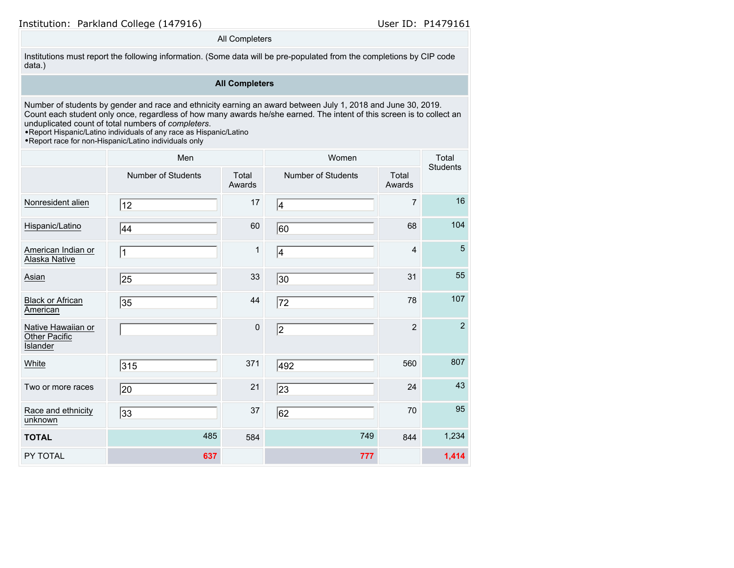### All Completers

Institutions must report the following information. (Some data will be pre-populated from the completions by CIP code data.)

### **All Completers**

Number of students by gender and race and ethnicity earning an award between July 1, 2018 and June 30, 2019. Count each student only once, regardless of how many awards he/she earned. The intent of this screen is to collect an unduplicated count of total numbers of *completers*.

•Report Hispanic/Latino individuals of any race as Hispanic/Latino

•Report race for non-Hispanic/Latino individuals only

|                                                        | Men                |                 | Women              |                 | Total<br>Students |
|--------------------------------------------------------|--------------------|-----------------|--------------------|-----------------|-------------------|
|                                                        | Number of Students | Total<br>Awards | Number of Students | Total<br>Awards |                   |
| Nonresident alien                                      | 12                 | 17              | 4                  | 7               | 16                |
| Hispanic/Latino                                        | 44                 | 60              | 60                 | 68              | 104               |
| American Indian or<br>Alaska Native                    | $\vert$ 1          | 1               | 4                  | 4               | 5                 |
| Asian                                                  | 25                 | 33              | 30                 | 31              | 55                |
| <b>Black or African</b><br>American                    | 35                 | 44              | 72                 | 78              | 107               |
| Native Hawaiian or<br>Other Pacific<br><b>Islander</b> |                    | $\pmb{0}$       | 2                  | $\overline{2}$  | $\overline{2}$    |
| White                                                  | 315                | 371             | 492                | 560             | 807               |
| Two or more races                                      | 20                 | 21              | 23                 | 24              | 43                |
| Race and ethnicity<br>unknown                          | 33                 | 37              | 62                 | 70              | 95                |
| <b>TOTAL</b>                                           | 485                | 584             | 749                | 844             | 1,234             |
| PY TOTAL                                               | 637                |                 | 777                |                 | 1,414             |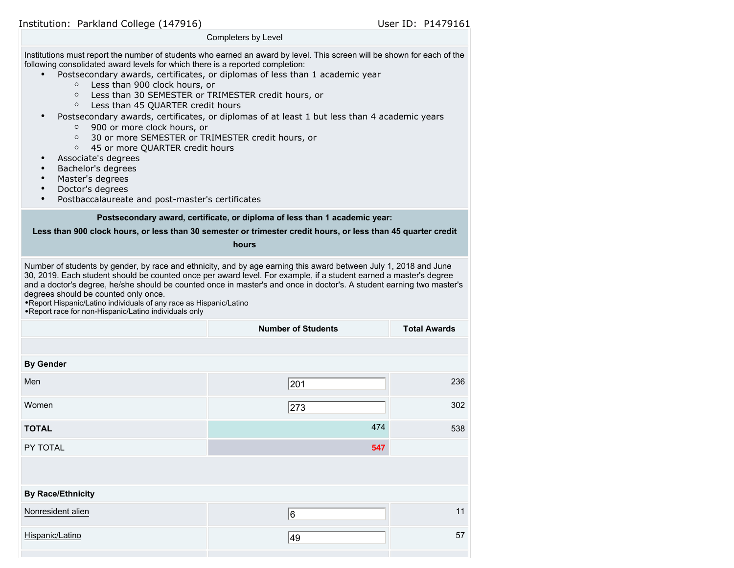|                                                                                                                                                                                                                                                                                                                                                                                                                                                                                                                                                                                                                                                                                | Completers by Level                                                                                                                                                          |                     |
|--------------------------------------------------------------------------------------------------------------------------------------------------------------------------------------------------------------------------------------------------------------------------------------------------------------------------------------------------------------------------------------------------------------------------------------------------------------------------------------------------------------------------------------------------------------------------------------------------------------------------------------------------------------------------------|------------------------------------------------------------------------------------------------------------------------------------------------------------------------------|---------------------|
| Institutions must report the number of students who earned an award by level. This screen will be shown for each of the<br>following consolidated award levels for which there is a reported completion:<br>Less than 900 clock hours, or<br>$\circ$<br>Less than 30 SEMESTER or TRIMESTER credit hours, or<br>$\circ$<br>Less than 45 QUARTER credit hours<br>$\circ$<br>$\bullet$<br>900 or more clock hours, or<br>O<br>30 or more SEMESTER or TRIMESTER credit hours, or<br>$\circ$<br>45 or more QUARTER credit hours<br>$\circ$<br>Associate's degrees<br>Bachelor's degrees<br>Master's degrees<br>Doctor's degrees<br>Postbaccalaureate and post-master's certificates | Postsecondary awards, certificates, or diplomas of less than 1 academic year<br>Postsecondary awards, certificates, or diplomas of at least 1 but less than 4 academic years |                     |
|                                                                                                                                                                                                                                                                                                                                                                                                                                                                                                                                                                                                                                                                                | Postsecondary award, certificate, or diploma of less than 1 academic year:                                                                                                   |                     |
|                                                                                                                                                                                                                                                                                                                                                                                                                                                                                                                                                                                                                                                                                | Less than 900 clock hours, or less than 30 semester or trimester credit hours, or less than 45 quarter credit                                                                |                     |
|                                                                                                                                                                                                                                                                                                                                                                                                                                                                                                                                                                                                                                                                                | hours                                                                                                                                                                        |                     |
| 30, 2019. Each student should be counted once per award level. For example, if a student earned a master's degree<br>and a doctor's degree, he/she should be counted once in master's and once in doctor's. A student earning two master's<br>degrees should be counted only once.<br>. Report Hispanic/Latino individuals of any race as Hispanic/Latino<br>. Report race for non-Hispanic/Latino individuals only                                                                                                                                                                                                                                                            |                                                                                                                                                                              |                     |
|                                                                                                                                                                                                                                                                                                                                                                                                                                                                                                                                                                                                                                                                                | <b>Number of Students</b>                                                                                                                                                    | <b>Total Awards</b> |
|                                                                                                                                                                                                                                                                                                                                                                                                                                                                                                                                                                                                                                                                                |                                                                                                                                                                              |                     |
| <b>By Gender</b>                                                                                                                                                                                                                                                                                                                                                                                                                                                                                                                                                                                                                                                               |                                                                                                                                                                              |                     |
| Men                                                                                                                                                                                                                                                                                                                                                                                                                                                                                                                                                                                                                                                                            | 201                                                                                                                                                                          | 236                 |
| Women                                                                                                                                                                                                                                                                                                                                                                                                                                                                                                                                                                                                                                                                          | 273                                                                                                                                                                          | 302                 |
| <b>TOTAL</b>                                                                                                                                                                                                                                                                                                                                                                                                                                                                                                                                                                                                                                                                   | 474                                                                                                                                                                          | 538                 |
| PY TOTAL                                                                                                                                                                                                                                                                                                                                                                                                                                                                                                                                                                                                                                                                       | 547                                                                                                                                                                          |                     |
|                                                                                                                                                                                                                                                                                                                                                                                                                                                                                                                                                                                                                                                                                |                                                                                                                                                                              |                     |
| <b>By Race/Ethnicity</b>                                                                                                                                                                                                                                                                                                                                                                                                                                                                                                                                                                                                                                                       |                                                                                                                                                                              |                     |
| Nonresident alien                                                                                                                                                                                                                                                                                                                                                                                                                                                                                                                                                                                                                                                              | 6                                                                                                                                                                            | 11                  |
| Hispanic/Latino                                                                                                                                                                                                                                                                                                                                                                                                                                                                                                                                                                                                                                                                | 49                                                                                                                                                                           | 57                  |
|                                                                                                                                                                                                                                                                                                                                                                                                                                                                                                                                                                                                                                                                                |                                                                                                                                                                              |                     |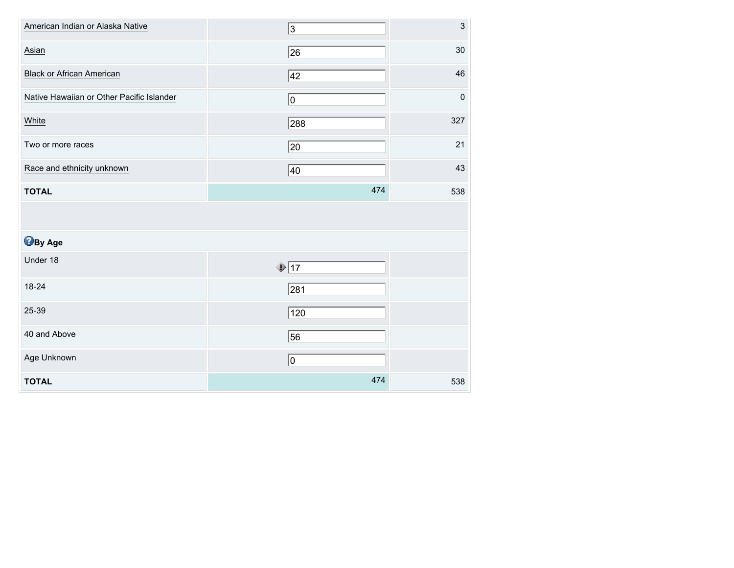| American Indian or Alaska Native          | 3               | $\mathsf 3$ |
|-------------------------------------------|-----------------|-------------|
| Asian                                     | 26              | 30          |
| <b>Black or African American</b>          | 42              | 46          |
| Native Hawaiian or Other Pacific Islander | 10              | $\mathbf 0$ |
| White                                     | 288             | 327         |
| Two or more races                         | $ 20\rangle$    | 21          |
| Race and ethnicity unknown                | 40              | 43          |
| <b>TOTAL</b>                              | 474             | 538         |
|                                           |                 |             |
|                                           |                 |             |
| <b>B</b> By Age                           |                 |             |
| Under 18                                  | $\sqrt{17}$     |             |
| 18-24                                     | 281             |             |
| 25-39                                     | 120             |             |
| 40 and Above                              | $\overline{56}$ |             |
| Age Unknown                               | 0               |             |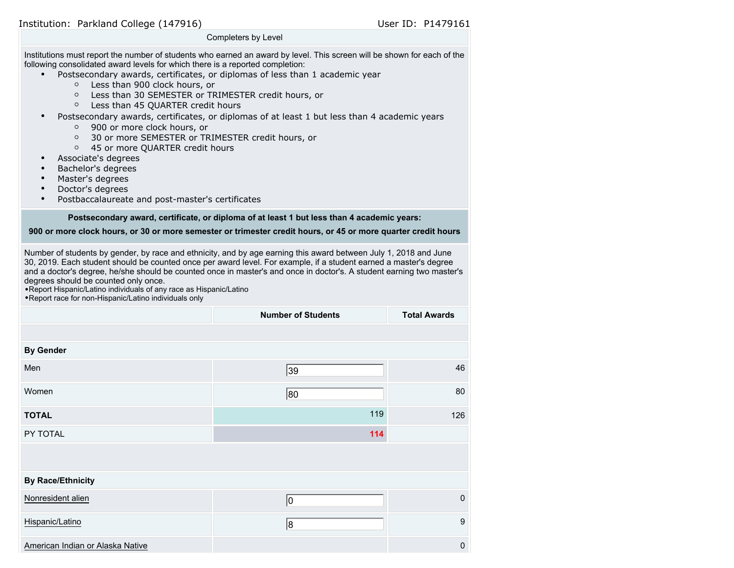| Completers by Level                                                                                                                                                                                                                                                                                                                                                                                                                                                                                                                                                                                                                                                                                                                                                                                                                                                                            |
|------------------------------------------------------------------------------------------------------------------------------------------------------------------------------------------------------------------------------------------------------------------------------------------------------------------------------------------------------------------------------------------------------------------------------------------------------------------------------------------------------------------------------------------------------------------------------------------------------------------------------------------------------------------------------------------------------------------------------------------------------------------------------------------------------------------------------------------------------------------------------------------------|
| Institutions must report the number of students who earned an award by level. This screen will be shown for each of the<br>following consolidated award levels for which there is a reported completion:<br>Postsecondary awards, certificates, or diplomas of less than 1 academic year<br>Less than 900 clock hours, or<br>$\circ$<br>Less than 30 SEMESTER or TRIMESTER credit hours, or<br>$\circ$<br>Less than 45 QUARTER credit hours<br>$\circ$<br>Postsecondary awards, certificates, or diplomas of at least 1 but less than 4 academic years<br>$\bullet$<br>900 or more clock hours, or<br>$\circ$<br>30 or more SEMESTER or TRIMESTER credit hours, or<br>$\circ$<br>45 or more QUARTER credit hours<br>$\circ$<br>Associate's degrees<br>Bachelor's degrees<br>Master's degrees<br>$\bullet$<br>Doctor's degrees<br>Postbaccalaureate and post-master's certificates<br>$\bullet$ |
| Postsecondary award, certificate, or diploma of at least 1 but less than 4 academic years:                                                                                                                                                                                                                                                                                                                                                                                                                                                                                                                                                                                                                                                                                                                                                                                                     |

**900 or more clock hours, or 30 or more semester or trimester credit hours, or 45 or more quarter credit hours**

Number of students by gender, by race and ethnicity, and by age earning this award between July 1, 2018 and June 30, 2019. Each student should be counted once per award level. For example, if a student earned a master's degree and a doctor's degree, he/she should be counted once in master's and once in doctor's. A student earning two master's degrees should be counted only once.

•Report Hispanic/Latino individuals of any race as Hispanic/Latino

•Report race for non-Hispanic/Latino individuals only

|                                  | <b>Number of Students</b> | <b>Total Awards</b> |
|----------------------------------|---------------------------|---------------------|
|                                  |                           |                     |
| <b>By Gender</b>                 |                           |                     |
| Men                              | 39                        | 46                  |
| Women                            | 80                        | 80                  |
| <b>TOTAL</b>                     | 119                       | 126                 |
| PY TOTAL                         | 114                       |                     |
|                                  |                           |                     |
| <b>By Race/Ethnicity</b>         |                           |                     |
| Nonresident alien                | 10                        | $\pmb{0}$           |
| Hispanic/Latino                  | 8                         | $\boldsymbol{9}$    |
| American Indian or Alaska Native |                           | $\mathbf 0$         |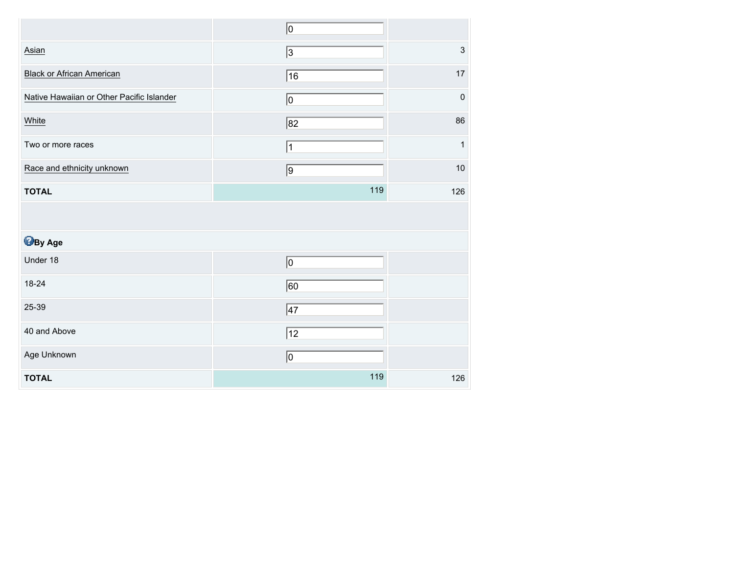|                                           | 0                        |                           |
|-------------------------------------------|--------------------------|---------------------------|
| Asian                                     | $\overline{\mathcal{E}}$ | $\ensuremath{\mathsf{3}}$ |
| <b>Black or African American</b>          | 16                       | 17                        |
| Native Hawaiian or Other Pacific Islander | $ 0\rangle$              | $\mathbf 0$               |
| White                                     | 82                       | 86                        |
| Two or more races                         | 1                        | $\mathbf 1$               |
| Race and ethnicity unknown                | $\overline{9}$           | 10                        |
| <b>TOTAL</b>                              | 119                      | 126                       |
|                                           |                          |                           |
|                                           |                          |                           |
| <b>B</b> By Age                           |                          |                           |
| Under 18                                  | $ 0\rangle$              |                           |
| 18-24                                     | $\overline{60}$          |                           |
| 25-39                                     | $\sqrt{47}$              |                           |
| 40 and Above                              | $\overline{12}$          |                           |
| Age Unknown                               | 0                        |                           |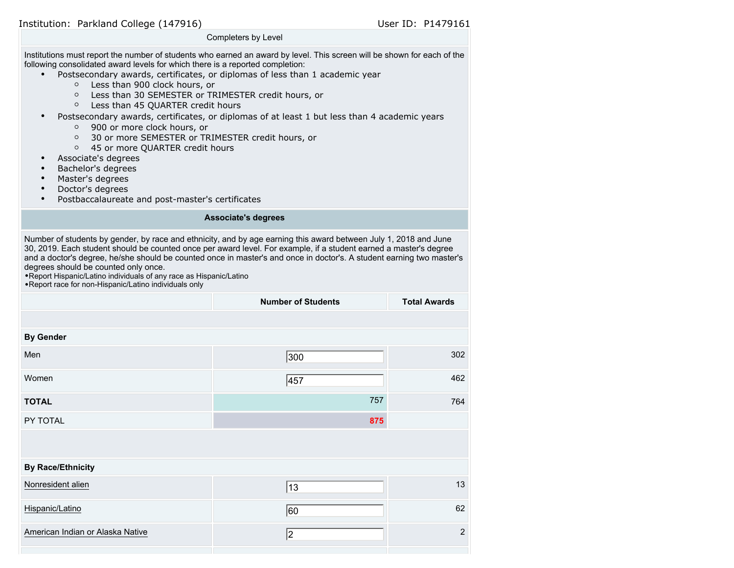Institution: Parkland College (147916) Notifiant State User ID: P1479161

Completers by Level

Institutions must report the number of students who earned an award by level. This screen will be shown for each of the following consolidated award levels for which there is a reported completion:

- Postsecondary awards, certificates, or diplomas of less than 1 academic year
	- Less than 900 clock hours, or
	- Less than 30 SEMESTER or TRIMESTER credit hours, or
	- Less than 45 QUARTER credit hours
- Postsecondary awards, certificates, or diplomas of at least 1 but less than 4 academic years
	- 900 or more clock hours, or
	- 30 or more SEMESTER or TRIMESTER credit hours, or
	- 45 or more QUARTER credit hours
- Associate's degrees
- Bachelor's degrees
- Master's degrees
- Doctor's degrees
- Postbaccalaureate and post-master's certificates

### **Associate's degrees**

Number of students by gender, by race and ethnicity, and by age earning this award between July 1, 2018 and June 30, 2019. Each student should be counted once per award level. For example, if a student earned a master's degree and a doctor's degree, he/she should be counted once in master's and once in doctor's. A student earning two master's degrees should be counted only once.

•Report Hispanic/Latino individuals of any race as Hispanic/Latino •Report race for non-Hispanic/Latino individuals only

|                                  | <b>Number of Students</b> | <b>Total Awards</b> |
|----------------------------------|---------------------------|---------------------|
|                                  |                           |                     |
| <b>By Gender</b>                 |                           |                     |
| Men                              | 300                       | 302                 |
| Women                            | 457                       | 462                 |
| <b>TOTAL</b>                     | 757                       | 764                 |
| PY TOTAL                         | 875                       |                     |
|                                  |                           |                     |
| <b>By Race/Ethnicity</b>         |                           |                     |
| Nonresident alien                | $\sqrt{13}$               | 13                  |
| Hispanic/Latino                  | 60                        | 62                  |
| American Indian or Alaska Native | 2                         | $\overline{c}$      |
|                                  |                           |                     |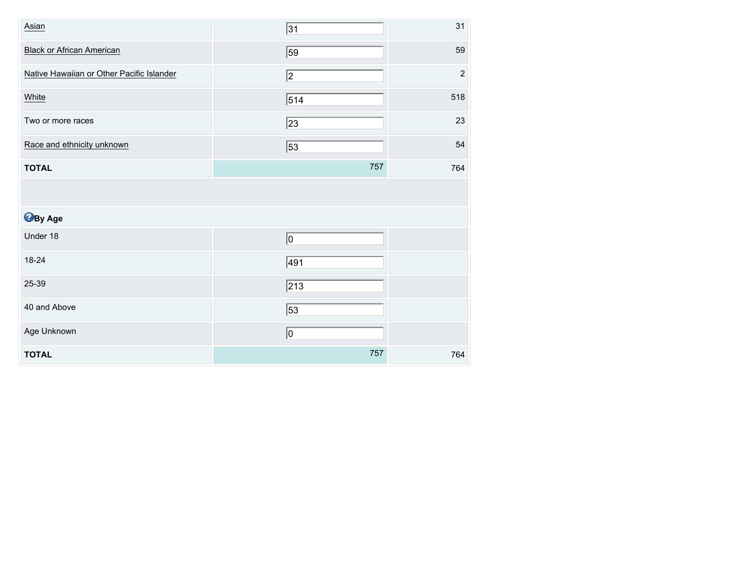| Asian                                     | 31              | 31         |
|-------------------------------------------|-----------------|------------|
| <b>Black or African American</b>          | $\overline{59}$ | 59         |
| Native Hawaiian or Other Pacific Islander | 2               | $\sqrt{2}$ |
| White                                     | 514             | 518        |
| Two or more races                         | $ 23\rangle$    | 23         |
| Race and ethnicity unknown                | 53              | 54         |
| <b>TOTAL</b>                              | 757             | 764        |
|                                           |                 |            |
| <b>B</b> By Age                           |                 |            |
| Under 18                                  | 0               |            |
| 18-24                                     | 491             |            |
| 25-39                                     | 213             |            |
|                                           |                 |            |
| 40 and Above                              | $\overline{53}$ |            |
| Age Unknown                               | 0               |            |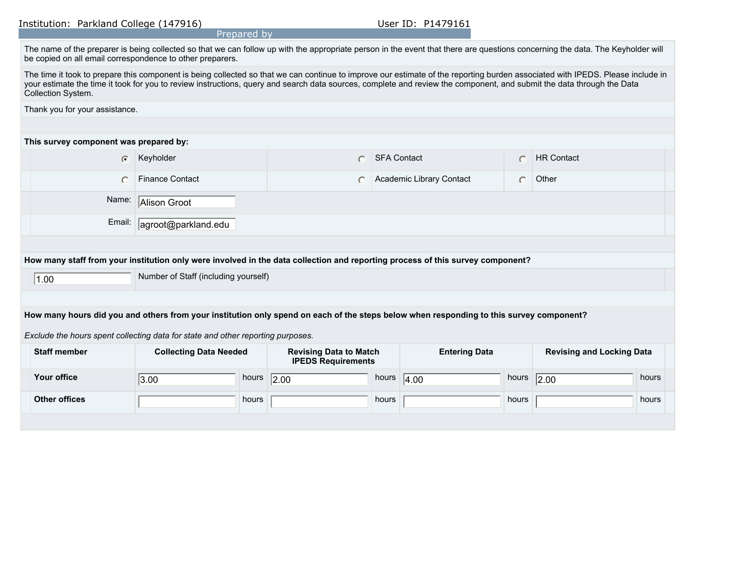Institution: Parkland College (147916) Manual Museum Museum User ID: P1479161

|                                                                                                                                                                                                                                                                                                                                                                               |                               | Prepared by |                               |                    |                          |           |                                  |       |
|-------------------------------------------------------------------------------------------------------------------------------------------------------------------------------------------------------------------------------------------------------------------------------------------------------------------------------------------------------------------------------|-------------------------------|-------------|-------------------------------|--------------------|--------------------------|-----------|----------------------------------|-------|
| The name of the preparer is being collected so that we can follow up with the appropriate person in the event that there are questions concerning the data. The Keyholder will<br>be copied on all email correspondence to other preparers.                                                                                                                                   |                               |             |                               |                    |                          |           |                                  |       |
| The time it took to prepare this component is being collected so that we can continue to improve our estimate of the reporting burden associated with IPEDS. Please include in<br>your estimate the time it took for you to review instructions, query and search data sources, complete and review the component, and submit the data through the Data<br>Collection System. |                               |             |                               |                    |                          |           |                                  |       |
| Thank you for your assistance.                                                                                                                                                                                                                                                                                                                                                |                               |             |                               |                    |                          |           |                                  |       |
|                                                                                                                                                                                                                                                                                                                                                                               |                               |             |                               |                    |                          |           |                                  |       |
| This survey component was prepared by:                                                                                                                                                                                                                                                                                                                                        |                               |             |                               |                    |                          |           |                                  |       |
| $\bullet$                                                                                                                                                                                                                                                                                                                                                                     | Keyholder                     |             | $\bigcap$                     | <b>SFA Contact</b> |                          | $\bigcap$ | <b>HR Contact</b>                |       |
| $\circ$                                                                                                                                                                                                                                                                                                                                                                       | <b>Finance Contact</b>        |             | $\bigcap$                     |                    | Academic Library Contact | $\bigcap$ | Other                            |       |
| Name:<br>Alison Groot                                                                                                                                                                                                                                                                                                                                                         |                               |             |                               |                    |                          |           |                                  |       |
| Email:<br>agroot@parkland.edu                                                                                                                                                                                                                                                                                                                                                 |                               |             |                               |                    |                          |           |                                  |       |
|                                                                                                                                                                                                                                                                                                                                                                               |                               |             |                               |                    |                          |           |                                  |       |
| How many staff from your institution only were involved in the data collection and reporting process of this survey component?                                                                                                                                                                                                                                                |                               |             |                               |                    |                          |           |                                  |       |
| Number of Staff (including yourself)<br> 1.00                                                                                                                                                                                                                                                                                                                                 |                               |             |                               |                    |                          |           |                                  |       |
|                                                                                                                                                                                                                                                                                                                                                                               |                               |             |                               |                    |                          |           |                                  |       |
| How many hours did you and others from your institution only spend on each of the steps below when responding to this survey component?                                                                                                                                                                                                                                       |                               |             |                               |                    |                          |           |                                  |       |
| Exclude the hours spent collecting data for state and other reporting purposes.                                                                                                                                                                                                                                                                                               |                               |             |                               |                    |                          |           |                                  |       |
| <b>Staff member</b>                                                                                                                                                                                                                                                                                                                                                           | <b>Collecting Data Needed</b> |             | <b>Revising Data to Match</b> |                    | <b>Entering Data</b>     |           | <b>Revising and Locking Data</b> |       |
|                                                                                                                                                                                                                                                                                                                                                                               | <b>IPEDS Requirements</b>     |             |                               |                    |                          |           |                                  |       |
| <b>Your office</b>                                                                                                                                                                                                                                                                                                                                                            | 3.00                          | hours       | 2.00                          | hours              | 4.00                     | hours     | $\overline{2.00}$                | hours |
| <b>Other offices</b>                                                                                                                                                                                                                                                                                                                                                          |                               | hours       |                               | hours              |                          | hours     |                                  | hours |
|                                                                                                                                                                                                                                                                                                                                                                               |                               |             |                               |                    |                          |           |                                  |       |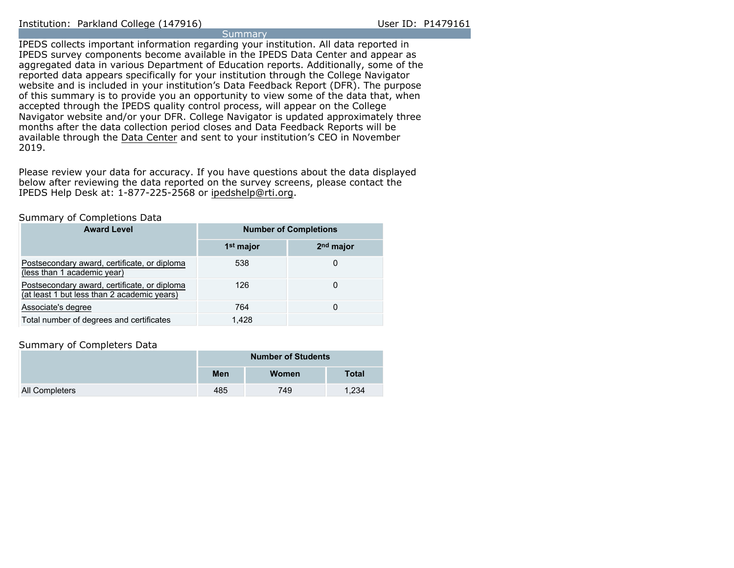**Summary** IPEDS collects important information regarding your institution. All data reported in IPEDS survey components become available in the IPEDS Data Center and appear as aggregated data in various Department of Education reports. Additionally, some of the reported data appears specifically for your institution through the College Navigator website and is included in your institution's Data Feedback Report (DFR). The purpose of this summary is to provide you an opportunity to view some of the data that, when accepted through the IPEDS quality control process, will appear on the College Navigator website and/or your DFR. College Navigator is updated approximately three months after the data collection period closes and Data Feedback Reports will be available through the [Data Center](https://nces.ed.gov/ipeds/use-the-data) and sent to your institution's CEO in November 2019.

Please review your data for accuracy. If you have questions about the data displayed below after reviewing the data reported on the survey screens, please contact the IPEDS Help Desk at: 1-877-225-2568 or ipedshelp@rti.org.

### Summary of Completions Data

| <b>Award Level</b>                                                                          | <b>Number of Completions</b> |                       |  |  |
|---------------------------------------------------------------------------------------------|------------------------------|-----------------------|--|--|
|                                                                                             | 1 <sup>st</sup> major        | 2 <sup>nd</sup> major |  |  |
| Postsecondary award, certificate, or diploma<br>(less than 1 academic year)                 | 538                          |                       |  |  |
| Postsecondary award, certificate, or diploma<br>(at least 1 but less than 2 academic years) | 126                          |                       |  |  |
| Associate's degree                                                                          | 764                          |                       |  |  |
| Total number of degrees and certificates                                                    | 1.428                        |                       |  |  |

### Summary of Completers Data

|                | <b>Number of Students</b> |       |              |  |
|----------------|---------------------------|-------|--------------|--|
|                | Men                       | Women | <b>Total</b> |  |
| All Completers | 485                       | 749   | 1.234        |  |